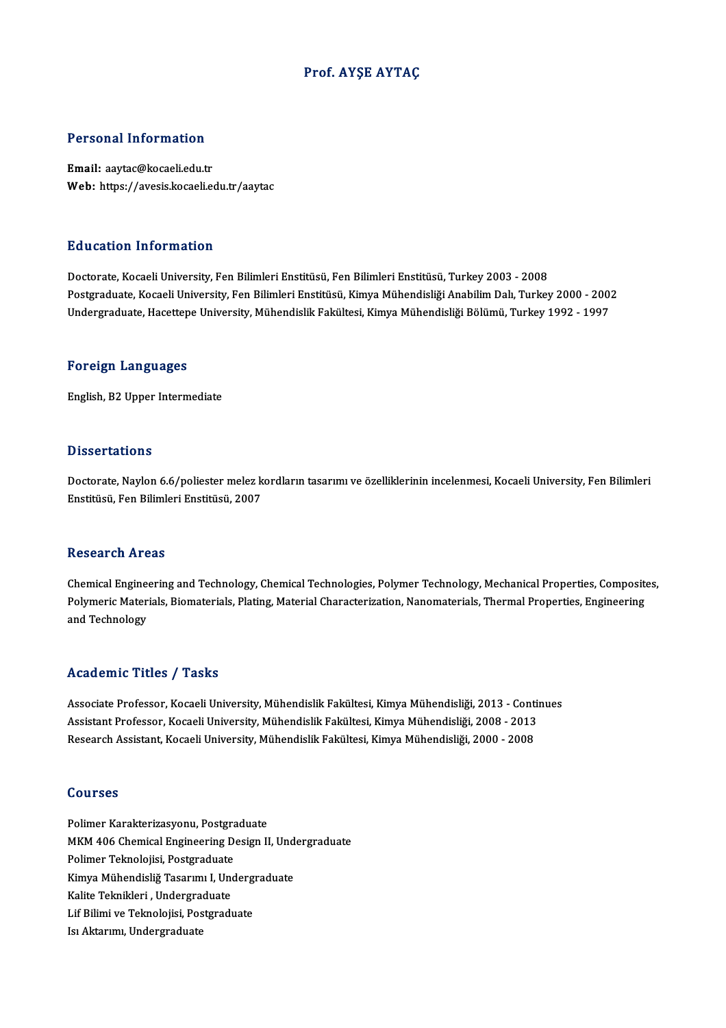### Prof. AYŞE AYTAÇ

#### Personal Information

Email: aaytac@kocaeli.edu.tr Web: https://avesis.kocaeli.edu.tr/aaytac

#### Education Information

Doctorate,KocaeliUniversity,FenBilimleriEnstitüsü,FenBilimleriEnstitüsü,Turkey2003 -2008 Postgraduate, Kocaeli University, Fen Bilimleri Enstitüsü, Kimya Mühendisliği Anabilim Dalı, Turkey 2000 - 2002 Undergraduate, Hacettepe University, Mühendislik Fakültesi, Kimya Mühendisliği Bölümü, Turkey 1992 - 1997

#### Foreign Languages

English,B2Upper Intermediate

### **Dissertations**

Dissertations<br>Doctorate, Naylon 6.6/poliester melez kordların tasarımı ve özelliklerinin incelenmesi, Kocaeli University, Fen Bilimleri<br>Fnstitüsü, Fen Bilimleri Enstitüsü, 2007 Bassoa taarome<br>Doctorate, Naylon 6.6/poliester melez k<br>Enstitüsü, Fen Bilimleri Enstitüsü, 2007 Enstitüsü, Fen Bilimleri Enstitüsü, 2007<br>Research Areas

Research Areas<br>Chemical Engineering and Technology, Chemical Technologies, Polymer Technology, Mechanical Properties, Composites,<br>Polymerie Meterials, Piemeterials, Plating, Meterial Characterization, Nanomaterials, Therma resear en 111 0as<br>Chemical Engineering and Technology, Chemical Technologies, Polymer Technology, Mechanical Properties, Composit<br>Polymeric Materials, Biomaterials, Plating, Material Characterization, Nanomaterials, Therma Chemical Engine<br>Polymeric Mater<br>and Technology and Technology<br>Academic Titles / Tasks

Academic Titles / Tasks<br>Associate Professor, Kocaeli University, Mühendislik Fakültesi, Kimya Mühendisliği, 2013 - Continues<br>Assistant Professor, Kosaeli University, Mühendislik Fakültesi, Kimya Mühendisliği, 2008 - 2012 Associate Professor, Kocaeli University, Mühendislik Fakültesi, Kimya Mühendisliği, 2013 - Contin<br>Assistant Professor, Kocaeli University, Mühendislik Fakültesi, Kimya Mühendisliği, 2008 - 2013<br>Besearsh Assistant, Kosaeli Associate Professor, Kocaeli University, Mühendislik Fakültesi, Kimya Mühendisliği, 2013 - Conti<br>Assistant Professor, Kocaeli University, Mühendislik Fakültesi, Kimya Mühendisliği, 2008 - 2013<br>Research Assistant, Kocaeli U Research Assistant, Kocaeli University, Mühendislik Fakültesi, Kimya Mühendisliği, 2000 - 2008<br>Courses

Polimer Karakterizasyonu, Postgraduate SSQ1955<br>Polimer Karakterizasyonu, Postgraduate<br>MKM 406 Chemical Engineering Design II, Undergraduate<br>Polimer Telmolejisi, Postgraduate Polimer Karakterizasyonu, Postgra<br>MKM 406 Chemical Engineering D<br>Polimer Teknolojisi, Postgraduate<br>Kimua Mühandialiğ Tasarımı LUnd MKM 406 Chemical Engineering Design II, Und<br>Polimer Teknolojisi, Postgraduate<br>Kimya Mühendisliğ Tasarımı I, Undergraduate<br>Kalita Telmilderi, Undergraduate Polimer Teknolojisi, Postgraduate<br>Kimya Mühendisliğ Tasarımı I, Undergraduate<br>Kalite Teknikleri , Undergraduate Kimya Mühendisliğ Tasarımı I, Underg<br>Kalite Teknikleri , Undergraduate<br>Lif Bilimi ve Teknolojisi, Postgraduate<br>Isvektanımı Undergraduate Kalite Teknikleri , Undergrad<br>Lif Bilimi ve Teknolojisi, Post<br>Isı Aktarımı, Undergraduate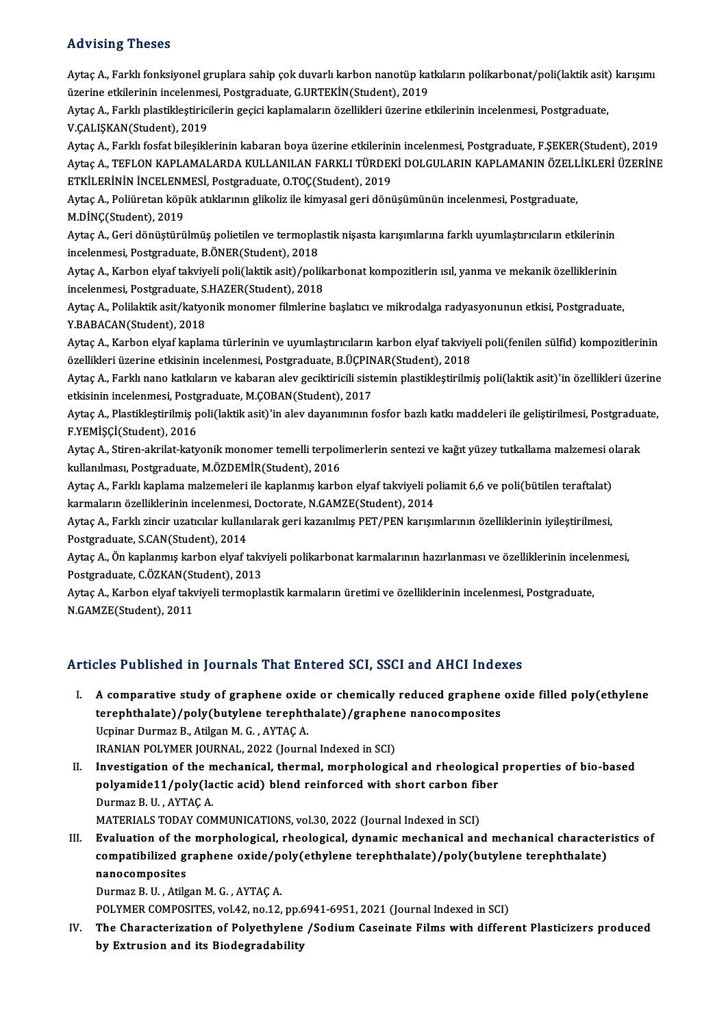## Advising Theses

Aytaç A., Farklı fonksiyonel gruplara sahip çok duvarlı karbon nanotüp katkıların polikarbonat/poli(laktik asit) karışımı rta vusing "ricses"<br>Aytaç A., Farklı fonksiyonel gruplara sahip çok duvarlı karbon nanotüp ka<br>üzerine etkilerinin incelenmesi, Postgraduate, G.URTEKİN(Student), 2019<br>Aytas A., Farklı plastiklestinisilerin geçisi kaplamalar

Aytaç A., Farklı plastikleştiricilerin geçici kaplamaların özellikleri üzerine etkilerinin incelenmesi, Postgraduate,<br>V.ÇALIŞKAN(Student), 2019 üzerine etkilerinin incelenme<br>Aytaç A., Farklı plastikleştirici<br>V.ÇALIŞKAN(Student), 2019<br>Aytaç A., Farklı feçfat bileşikle

AytaçA.,Farklı fosfatbileşiklerininkabaranboya üzerine etkilerininincelenmesi,Postgraduate,F.ŞEKER(Student),2019 V.ÇALIŞKAN(Student), 2019<br>Aytaç A., Farklı fosfat bileşiklerinin kabaran boya üzerine etkilerinin incelenmesi, Postgraduate, F.ŞEKER(Student), 2019<br>Aytaç A., TEFLON KAPLAMALARDA KULLANILAN FARKLI TÜRDEKİ DOLGULARIN KAPLAMA Aytaç A., Farklı fosfat bileşiklerinin kabaran boya üzerine etkilerini<br>Aytaç A., TEFLON KAPLAMALARDA KULLANILAN FARKLI TÜRDEH<br>ETKİLERİNİN İNCELENMESİ, Postgraduate, O.TOÇ(Student), 2019<br>Aytaç A., Poliüratan könük atıkların Aytaç A., TEFLON KAPLAMALARDA KULLANILAN FARKLI TÜRDEKİ DOLGULARIN KAPLAMANIN ÖZELL<br>ETKİLERİNİN İNCELENMESİ, Postgraduate, O.TOÇ(Student), 2019<br>Aytaç A., Poliüretan köpük atıklarının glikoliz ile kimyasal geri dönüşümünün

ETKİLERİNİN İNCELENMESİ, Postgraduate, O.TOÇ(Student), 2019<br>Aytaç A., Poliüretan köpük atıklarının glikoliz ile kimyasal geri dönüşümünün incelenmesi, Postgraduate,<br>M.DİNÇ(Student), 2019 Aytaç A., Poliüretan köpük atıklarının glikoliz ile kimyasal geri dönüşümünün incelenmesi, Postgraduate,<br>M.DİNÇ(Student), 2019<br>Aytaç A., Geri dönüştürülmüş polietilen ve termoplastik nişasta karışımlarına farklı uyumlaştır

M.DİNÇ(Student), 2019<br>Aytaç A., Geri dönüştürülmüş polietilen ve termopla<br>incelenmesi, Postgraduate, B.ÖNER(Student), 2018<br>Aytas A., Karbon elvef takıyıslı poli(laktik ssit) (poli Aytaç A., Geri dönüştürülmüş polietilen ve termoplastik nişasta karışımlarına farklı uyumlaştırıcıların etkilerinin<br>incelenmesi, Postgraduate, B.ÖNER(Student), 2018<br>Aytaç A., Karbon elyaf takviyeli poli(laktik asit)/polika

incelenmesi, Postgraduate, B.ÖNER(Student), 2018<br>Aytaç A., Karbon elyaf takviyeli poli(laktik asit)/polik<br>incelenmesi, Postgraduate, S.HAZER(Student), 2018<br>Aytas A., Polilaktik asit (katyonik monomer filmlarine Aytaç A., Karbon elyaf takviyeli poli(laktik asit)/polikarbonat kompozitlerin ısıl, yanma ve mekanik özelliklerinin<br>incelenmesi, Postgraduate, S.HAZER(Student), 2018<br>Aytaç A., Polilaktik asit/katyonik monomer filmlerine ba

incelenmesi, Postgraduate, S.<br>Aytaç A., Polilaktik asit/katyo<br>Y.BABACAN(Student), 2018 Aytaç A., Polilaktik asit/katyonik monomer filmlerine başlatıcı ve mikrodalga radyasyonunun etkisi, Postgraduate,<br>Y.BABACAN(Student), 2018<br>Aytaç A., Karbon elyaf kaplama türlerinin ve uyumlaştırıcıların karbon elyaf takviy

Y.BABACAN(Student), 2018<br>Aytaç A., Karbon elyaf kaplama türlerinin ve uyumlaştırıcıların karbon elyaf takviye<br>özellikleri üzerine etkisinin incelenmesi, Postgraduate, B.ÜÇPINAR(Student), 2018<br>Aytas A., Farldi nano katlalar Aytaç A., Karbon elyaf kaplama türlerinin ve uyumlaştırıcıların karbon elyaf takviyeli poli(fenilen sülfid) kompozitlerinin<br>özellikleri üzerine etkisinin incelenmesi, Postgraduate, B.ÜÇPINAR(Student), 2018<br>Aytaç A., Farklı

özellikleri üzerine etkisinin incelenmesi, Postgraduate, B.ÜÇPINAR(Student), 2018<br>Aytaç A., Farklı nano katkıların ve kabaran alev geciktiricili sistemin plastikleştirilmiş poli(laktik asit)'in özellikleri üzerine<br>etkisini Aytaç A., Farklı nano katkıların ve kabaran alev geciktiricili sistemin plastikleştirilmiş poli(laktik asit)'in özellikleri üzerine<br>etkisinin incelenmesi, Postgraduate, M.ÇOBAN(Student), 2017<br>Aytaç A., Plastikleştirilmiş p

etkisinin incelenmesi, Postgraduate, M.ÇOBAN(Student), 2017<br>Aytaç A., Plastikleştirilmiş poli(laktik asit)'in alev dayanımının<br>F.YEMİŞÇİ(Student), 2016 Aytaç A., Plastikleştirilmiş poli(laktik asit)'in alev dayanımının fosfor bazlı katkı maddeleri ile geliştirilmesi, Postgradua<br>F.YEMİŞÇİ(Student), 2016<br>Aytaç A., Stiren-akrilat-katyonik monomer temelli terpolimerlerin sent

F.YEMİŞÇİ(Student), 2016<br>Aytaç A., Stiren-akrilat-katyonik monomer temelli terpoli<br>kullanılması, Postgraduate, M.ÖZDEMİR(Student), 2016<br>Aytaç A., Farkk kanlama makamalari ile kanlanmıç karbe Aytaç A., Stiren-akrilat-katyonik monomer temelli terpolimerlerin sentezi ve kağıt yüzey tutkallama malzemesi o<br>kullanılması, Postgraduate, M.ÖZDEMİR(Student), 2016<br>Aytaç A., Farklı kaplama malzemeleri ile kaplanmış karbon

kullanılması, Postgraduate, M.ÖZDEMİR(Student), 2016<br>Aytaç A., Farklı kaplama malzemeleri ile kaplanmış karbon elyaf takviyeli poliamit 6,6 ve poli(bütilen teraftalat)<br>karmaların özelliklerinin incelenmesi, Doctorate, N.GA

Aytaç A., Farklı zincir uzatıcılar kullanılarak geri kazanılmış PET/PEN karışımlarının özelliklerinin iyileştirilmesi, Postgraduate, S.CAN(Student), 2014 Aytaç A., Farklı zincir uzatıcılar kullanılarak geri kazanılmış PET/PEN karışımlarının özelliklerinin iyileştirilmesi,<br>Postgraduate, S.CAN(Student), 2014<br>Aytaç A., Ön kaplanmış karbon elyaf takviyeli polikarbonat karmaları

Postgraduate, S.CAN(Student), 2014<br>Aytaç A., Ön kaplanmış karbon elyaf takv<br>Postgraduate, C.ÖZKAN(Student), 2013<br>Aytas A., Karbon elyaf talnüveli tarmanla Aytaç A., Ön kaplanmış karbon elyaf takviyeli polikarbonat karmalarının hazırlanması ve özelliklerinin incele<br>Postgraduate, C.ÖZKAN(Student), 2013<br>Aytaç A., Karbon elyaf takviyeli termoplastik karmaların üretimi ve özellik

Postgraduate, C.ÖZKAN(St<br>Aytaç A., Karbon elyaf takı<br>N.GAMZE(Student), 2011

# Articles Published in Journals That Entered SCI, SSCI and AHCI Indexes

I. A comparative study of graphene oxide or chemically reduced graphene oxide filled poly(ethylene terephthalate)/polythmalated interested best, boot and three mass.<br>A comparative study of graphene oxide or chemically reduced graphene<br>terephthalate)/poly(butylene terephthalate)/graphene nanocomposites A comparative study of graphene oxid<br>terephthalate)/poly(butylene terephtl<br>Ucpinar Durmaz B., Atilgan M. G. , AYTAÇ A.<br>IPANIAN POLYMER JOURNAL 2022 (Journe terephthalate)/poly(butylene terephthalate)/graphen<br>Ucpinar Durmaz B., Atilgan M. G. , AYTAÇ A.<br>IRANIAN POLYMER JOURNAL, 2022 (Journal Indexed in SCI)<br>Investigation of the mechanical, thermal, mernhalagie Ucpinar Durmaz B., Atilgan M. G. , AYTAÇ A.<br>IRANIAN POLYMER JOURNAL, 2022 (Journal Indexed in SCI)<br>II. Investigation of the mechanical, thermal, morphological and rheological properties of bio-based<br>nolygomida11/poly(lasti

IRANIAN POLYMER JOURNAL, 2022 (Journal Indexed in SCI)<br>Investigation of the mechanical, thermal, morphological and rheological<br>polyamide11/poly(lactic acid) blend reinforced with short carbon fiber<br>Durmag B U - AVTAC A Investigation of the n<br>polyamide11/poly(la<br>Durmaz B.U., AYTAÇ A.<br>MATEPIALS TODAY CON polyamide11/poly(lactic acid) blend reinforced with short carbon fiber<br>Durmaz B. U., AYTAÇ A.<br>MATERIALS TODAY COMMUNICATIONS, vol.30, 2022 (Journal Indexed in SCI)

Durmaz B. U., AYTAÇ A.<br>MATERIALS TODAY COMMUNICATIONS, vol.30, 2022 (Journal Indexed in SCI)<br>III. Evaluation of the morphological, rheological, dynamic mechanical and mechanical characteristics of<br>compatibilized graphene e MATERIALS TODAY COMMUNICATIONS, vol.30, 2022 (Journal Indexed in SCI)<br>Evaluation of the morphological, rheological, dynamic mechanical and mechanical character<br>compatibilized graphene oxide/poly(ethylene terephthalate)/pol Evaluation of the<br>compatibilized gi<br>nanocomposites<br>Durmaz B. H. Atila compatibilized graphene oxide/poly(ethylene terephthalate)/poly(butylene terephthalate)<br>nanocomposites<br>Durmaz B. U., Atilgan M. G., AYTAÇ A.

POLYMER COMPOSITES, vol.42, no.12, pp.6941-6951, 2021 (Journal Indexed in SCI)

Durmaz B. U., Atilgan M. G., AYTAÇ A.<br>POLYMER COMPOSITES, vol.42, no.12, pp.6941-6951, 2021 (Journal Indexed in SCI)<br>IV. The Characterization of Polyethylene /Sodium Caseinate Films with different Plasticizers produced<br>by POLYMER COMPOSITES, vol.42, no.12, pp.6<br>The Characterization of Polyethylene<br>by Extrusion and its Biodegradability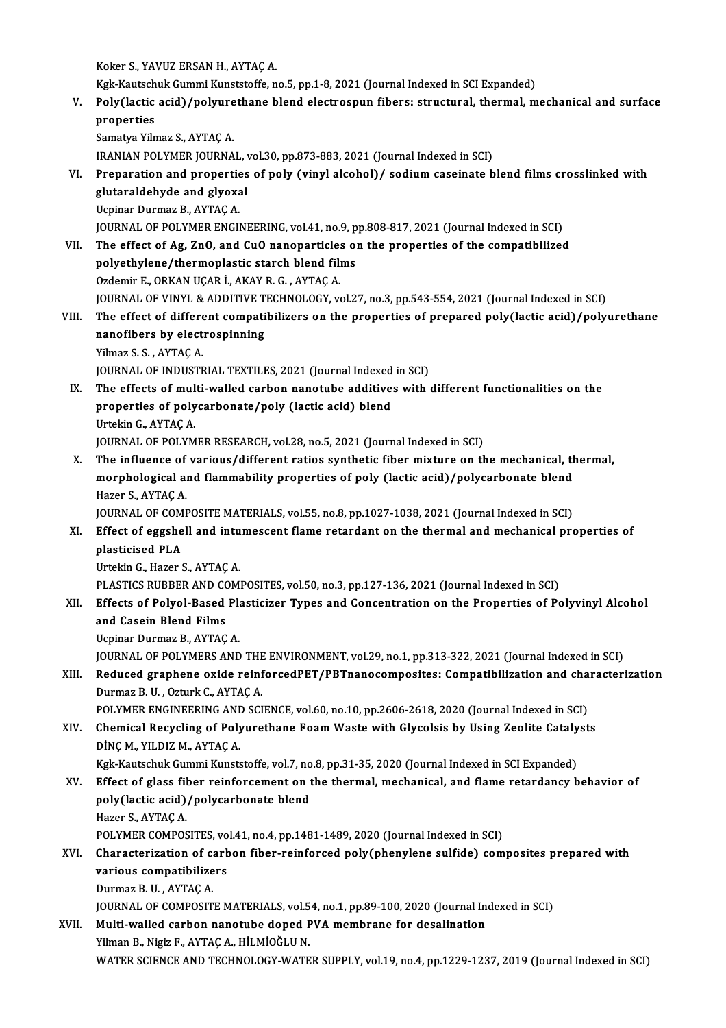Koker S., YAVUZ ERSAN H., AYTAÇ A.

Koker S., YAVUZ ERSAN H., AYTAÇ A.<br>Kgk-Kautschuk Gummi Kunststoffe, no.5, pp.1-8, 2021 (Journal Indexed in SCI Expanded)<br>Roly(Jostis esid) (polyunathane blend electrospun fibers: structural, thermal, m

V. Poly(lactic acid)/polyurethane blend electrospun fibers: structural, thermal, mechanical and surface<br>properties Kgk-Kautsch<br>Poly (lactic<br>properties<br>Samatua Vila

Samatya Yilmaz S., AYTAÇ A.

IRANIAN POLYMER JOURNAL, vol.30, pp.873-883, 2021 (Journal Indexed in SCI)

- Samatya Yilmaz S., AYTAÇ A.<br>IRANIAN POLYMER JOURNAL, vol.30, pp.873-883, 2021 (Journal Indexed in SCI)<br>VI. Preparation and properties of poly (vinyl alcohol)/ sodium caseinate blend films crosslinked with<br>glutaraldebyde an IRANIAN POLYMER JOURNAL,<br>Preparation and properties<br>glutaraldehyde and glyoxal<br><sup>Heninor Durmaz P.</sup> A<sup>yTAC A</sup> Preparation and propertie<br>glutaraldehyde and glyoxa<br>Ucpinar Durmaz B., AYTAÇ A.<br>JOUPNAL OF POLYMER ENCU glutaraldehyde and glyoxal<br>Ucpinar Durmaz B., AYTAÇ A.<br>JOURNAL OF POLYMER ENGINEERING, vol.41, no.9, pp.808-817, 2021 (Journal Indexed in SCI)
- Ucpinar Durmaz B., AYTAÇ A.<br>JOURNAL OF POLYMER ENGINEERING, vol.41, no.9, pp.808-817, 2021 (Journal Indexed in SCI)<br>VII. The effect of Ag, ZnO, and CuO nanoparticles on the properties of the compatibilized<br>nolyothylone (th JOURNAL OF POLYMER ENGINEERING, vol.41, no.9, p<br>The effect of Ag, ZnO, and CuO nanoparticles of<br>polyethylene/thermoplastic starch blend films<br>Ordemir E. OPKAN UCAR L. AKAN B.C., AYTAC A The effect of Ag, ZnO, and CuO nanoparticle:<br>polyethylene/thermoplastic starch blend film<br>Ozdemir E., ORKAN UÇAR İ., AKAY R. G. , AYTAÇ A.<br>JOUPNAL OF VINYL & ADDITIVE TECHNOLOCY ...

polyethylene/thermoplastic starch blend films<br>Ozdemir E., ORKAN UÇAR İ., AKAY R. G. , AYTAÇ A.<br>JOURNAL OF VINYL & ADDITIVE TECHNOLOGY, vol.27, no.3, pp.543-554, 2021 (Journal Indexed in SCI)<br>The effect of different compati

Ozdemir E., ORKAN UÇAR İ., AKAY R. G. , AYTAÇ A.<br>JOURNAL OF VINYL & ADDITIVE TECHNOLOGY, vol.27, no.3, pp.543-554, 2021 (Journal Indexed in SCI)<br>VIII. The effect of different compatibilizers on the properties of prepar JOURNAL OF VINYL & ADDITIVE T<br>The effect of different compation<br>nanofibers by electrospinning<br>Vilmer S.S. AVTACA The effect of differe<br>nanofibers by elect<br>Yilmaz S.S., AYTAÇ A.<br>JOUPNAL OF INDUSTE nanofibers by electrospinning<br>Journaz S. S. , AYTAÇ A.<br>JOURNAL OF INDUSTRIAL TEXTILES, 2021 (Journal Indexed in SCI)

- IX. The effects of multi-walled carbon nanotube additives with different functionalities on the
- JOURNAL OF INDUSTRIAL TEXTILES, 2021 (Journal Indexed<br>The effects of multi-walled carbon nanotube additive<br>properties of polycarbonate/poly (lactic acid) blend<br>Urtekin C. AYTAC A The effects of mul<br>properties of poly<br>Urtekin G., AYTAÇ A.<br>JOUPMAL OF POLYM Urtekin G., AYTAÇ A.<br>JOURNAL OF POLYMER RESEARCH, vol.28, no.5, 2021 (Journal Indexed in SCI)
- Urtekin G., AYTAÇ A.<br>JOURNAL OF POLYMER RESEARCH, vol.28, no.5, 2021 (Journal Indexed in SCI)<br>X. The influence of various/different ratios synthetic fiber mixture on the mechanical, thermal,<br>morphological and flammability JOURNAL OF POLYMER RESEARCH, vol.28, no.5, 2021 (Journal Indexed in SCI)<br>The influence of various/different ratios synthetic fiber mixture on the mechanical, the<br>morphological and flammability properties of poly (lactic ac The influence of<br>morphological a<br>Hazer S., AYTAÇ A.<br>JOUPNAL OF COME morphological and flammability properties of poly (lactic acid)/polycarbonate blend<br>Hazer S., AYTAÇ A.

JOURNAL OF COMPOSITE MATERIALS, vol.55, no.8, pp.1027-1038, 2021 (Journal Indexed in SCI)

# XI. Effect of eggshell and intumescent flame retardant on the thermal and mechanical properties of plasticised PLA plasticised PLA<br>Urtekin G., Hazer S., AYTAÇ A.<br>PLASTICS RUBBER AND COMPOSITES, vol.50, no.3, pp.127-136, 2021 (Journal Indexed in SCI)<br>Effects of Polyal Based Plastisiser Types and Consentration on the Properties of Pe

UrtekinG.,Hazer S.,AYTAÇA.

## Urtekin G., Hazer S., AYTAÇ A.<br>PLASTICS RUBBER AND COMPOSITES, vol.50, no.3, pp.127-136, 2021 (Journal Indexed in SCI)<br>XII. Effects of Polyol-Based Plasticizer Types and Concentration on the Properties of Polyvinyl Alcohol PLASTICS RUBBER AND CONTRECTS of Polyol-Based<br>and Casein Blend Films<br>Haninar Dunmar B A<sup>VTAC</sup> Effects of Polyol-Based Pla<br>and Casein Blend Films<br>Ucpinar Durmaz B., AYTAÇ A.<br>JOUPNAL OF POLYMERS AND

and Casein Blend Films<br>Ucpinar Durmaz B., AYTAÇ A.<br>JOURNAL OF POLYMERS AND THE ENVIRONMENT, vol.29, no.1, pp.313-322, 2021 (Journal Indexed in SCI)<br>Reduced graphene evide reinforced PET (PPTpapecermosites: Compatibilizatio

Ucpinar Durmaz B., AYTAÇ A.<br>JOURNAL OF POLYMERS AND THE ENVIRONMENT, vol.29, no.1, pp.313-322, 2021 (Journal Indexed in SCI)<br>XIII. Reduced graphene oxide reinforcedPET/PBTnanocomposites: Compatibilization and characterizat JOURNAL OF POLYMERS AND THE<br>Reduced graphene oxide reinf<br>Durmaz B.U., Ozturk C., AYTAÇ A.<br>POLYMER ENCINEERING AND SCI XIII. Reduced graphene oxide reinforcedPET/PBTnanocomposites: Compatibilization and characterization<br>Durmaz B. U., Ozturk C., AYTAÇ A.<br>POLYMER ENGINEERING AND SCIENCE, vol.60, no.10, pp.2606-2618, 2020 (Journal Indexed in

Durmaz B. U. , Ozturk C., AYTAÇ A.<br>POLYMER ENGINEERING AND SCIENCE, vol.60, no.10, pp.2606-2618, 2020 (Journal Indexed in SCI)<br>XIV. Chemical Recycling of Polyurethane Foam Waste with Glycolsis by Using Zeolite Catalysts<br>DI POLYMER ENGINEERING AN<mark>I</mark><br>Chemical Recycling of Poly<br>DİNÇ M., YILDIZ M., AYTAÇ A.<br>Kek Kautschuk Cummi Kunsts Chemical Recycling of Polyurethane Foam Waste with Glycolsis by Using Zeolite Cataly<br>DİNÇ M., YILDIZ M., AYTAÇ A.<br>Kgk-Kautschuk Gummi Kunststoffe, vol.7, no.8, pp.31-35, 2020 (Journal Indexed in SCI Expanded)<br>Fffect of sla DİNÇ M., YILDIZ M., AYTAÇ A.<br>Kgk-Kautschuk Gummi Kunststoffe, vol.7, no.8, pp.31-35, 2020 (Journal Indexed in SCI Expanded)<br>XV. Effect of glass fiber reinforcement on the thermal, mechanical, and flame retardancy behav

## Kgk-Kautschuk Gummi Kunststoffe, vol.7, no<br>Effect of glass fiber reinforcement on t<br>poly(lactic acid)/polycarbonate blend<br>Hazer S. AYTAC A Effect of glass fil<br>poly(lactic acid)<br>Hazer S., AYTAÇ A.<br>POLYMER COMPOS Hazer S., AYTAÇ A.<br>POLYMER COMPOSITES, vol.41, no.4, pp.1481-1489, 2020 (Journal Indexed in SCI)

## Hazer S., AYTAÇ A.<br>POLYMER COMPOSITES, vol.41, no.4, pp.1481-1489, 2020 (Journal Indexed in SCI)<br>XVI. Characterization of carbon fiber-reinforced poly(phenylene sulfide) composites prepared with<br>verious compotibilizare POLYMER COMPOSITES, vo<br>Characterization of carb<br>various compatibilizers<br>Durmer B. H. AYTAC A Characterization of cancer<br>Various compatibilize<br>Durmaz B.U., AYTAÇ A.<br>JOUPNAL OF COMPOSIT various compatibilizers<br>Durmaz B. U. , AYTAÇ A.<br>JOURNAL OF COMPOSITE MATERIALS, vol.54, no.1, pp.89-100, 2020 (Journal Indexed in SCI)<br>Multi wolled carbon nanotube daned BVA membrane for deselination

# Durmaz B. U. , AYTAÇ A.<br>JOURNAL OF COMPOSITE MATERIALS, vol.54, no.1, pp.89-100, 2020 (Journal In<br>XVII. Multi-walled carbon nanotube doped PVA membrane for desalination<br>Vilman B. Nigin E. AVTAC A. HU MIQČLU N

JOURNAL OF COMPOSITE MATERIALS, vol.5<br><mark>Multi-walled carbon nanotube doped F</mark><br>Yilman B., Nigiz F., AYTAÇ A., HİLMİOĞLU N.<br>WATER SCIENCE AND TECUNOLOCY WATE XVII. Multi-walled carbon nanotube doped PVA membrane for desalination<br>Yilman B., Nigiz F., AYTAÇ A., HİLMİOĞLU N.<br>WATER SCIENCE AND TECHNOLOGY-WATER SUPPLY, vol.19, no.4, pp.1229-1237, 2019 (Journal Indexed in SCI)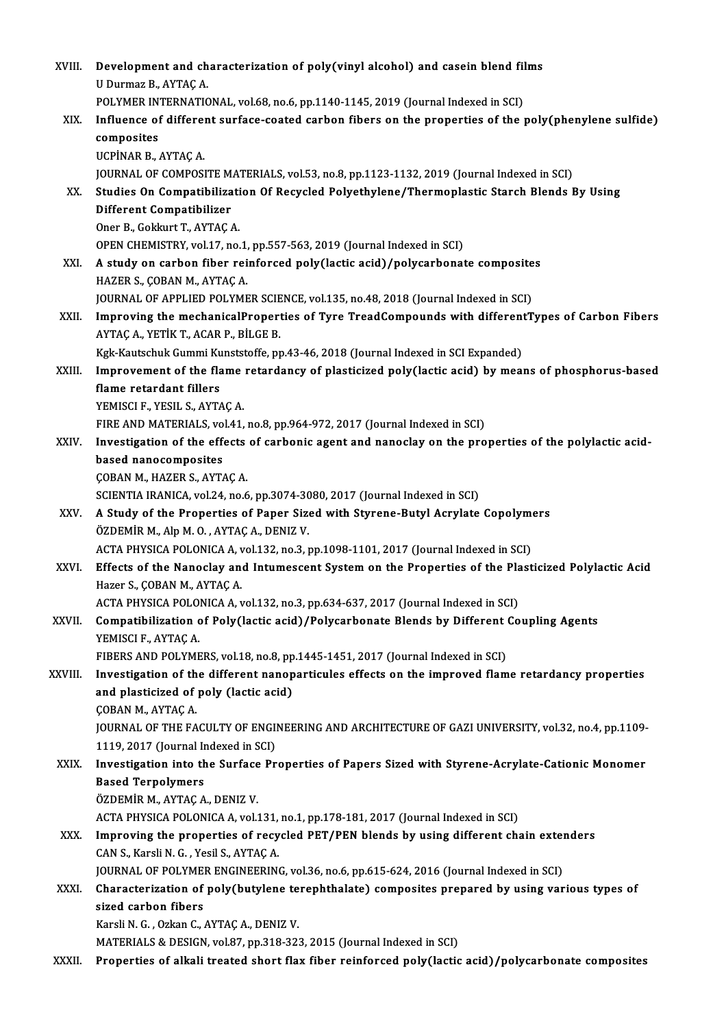| XVIII.      | Development and characterization of poly(vinyl alcohol) and casein blend films                                          |
|-------------|-------------------------------------------------------------------------------------------------------------------------|
|             | U Durmaz B., AYTAÇ A.                                                                                                   |
|             | POLYMER INTERNATIONAL, vol.68, no.6, pp.1140-1145, 2019 (Journal Indexed in SCI)                                        |
| XIX.        | Influence of different surface-coated carbon fibers on the properties of the poly(phenylene sulfide)                    |
|             | composites                                                                                                              |
|             | UCPİNAR B., AYTAÇ A.                                                                                                    |
|             | JOURNAL OF COMPOSITE MATERIALS, vol.53, no.8, pp.1123-1132, 2019 (Journal Indexed in SCI)                               |
| XX.         | Studies On Compatibilization Of Recycled Polyethylene/Thermoplastic Starch Blends By Using                              |
|             | <b>Different Compatibilizer</b>                                                                                         |
|             | Oner B., Gokkurt T., AYTAÇ A.                                                                                           |
|             | OPEN CHEMISTRY, vol.17, no.1, pp.557-563, 2019 (Journal Indexed in SCI)                                                 |
| XXI.        | A study on carbon fiber reinforced poly(lactic acid)/polycarbonate composites                                           |
|             | HAZER S., ÇOBAN M., AYTAC A.                                                                                            |
|             | JOURNAL OF APPLIED POLYMER SCIENCE, vol.135, no.48, 2018 (Journal Indexed in SCI)                                       |
| XXII.       | Improving the mechanicalProperties of Tyre TreadCompounds with differentTypes of Carbon Fibers                          |
|             | AYTAÇ A., YETİK T., ACAR P., BİLGE B.                                                                                   |
|             | Kgk-Kautschuk Gummi Kunststoffe, pp.43-46, 2018 (Journal Indexed in SCI Expanded)                                       |
| XXIII.      | Improvement of the flame retardancy of plasticized poly(lactic acid) by means of phosphorus-based                       |
|             | flame retardant fillers                                                                                                 |
|             | YEMISCI F., YESIL S., AYTAÇ A.<br>FIRE AND MATERIALS, vol.41, no.8, pp.964-972, 2017 (Journal Indexed in SCI)           |
| XXIV.       | Investigation of the effects of carbonic agent and nanoclay on the properties of the polylactic acid-                   |
|             | based nanocomposites                                                                                                    |
|             | ÇOBAN M., HAZER S., AYTAÇ A.                                                                                            |
|             | SCIENTIA IRANICA, vol.24, no.6, pp.3074-3080, 2017 (Journal Indexed in SCI)                                             |
| XXV.        | A Study of the Properties of Paper Sized with Styrene-Butyl Acrylate Copolymers                                         |
|             | ÖZDEMİR M., Alp M. O., AYTAÇ A., DENIZ V.                                                                               |
|             | ACTA PHYSICA POLONICA A, vol.132, no.3, pp.1098-1101, 2017 (Journal Indexed in SCI)                                     |
| <b>XXVI</b> | Effects of the Nanoclay and Intumescent System on the Properties of the Plasticized Polylactic Acid                     |
|             | Hazer S., COBAN M., AYTAC A.                                                                                            |
|             | ACTA PHYSICA POLONICA A, vol.132, no.3, pp.634-637, 2017 (Journal Indexed in SCI)                                       |
| XXVII.      | Compatibilization of Poly(lactic acid)/Polycarbonate Blends by Different Coupling Agents                                |
|             | YEMISCI F, AYTAÇ A                                                                                                      |
|             | FIBERS AND POLYMERS, vol.18, no.8, pp.1445-1451, 2017 (Journal Indexed in SCI)                                          |
| XXVIII.     | Investigation of the different nanoparticules effects on the improved flame retardancy properties                       |
|             | and plasticized of poly (lactic acid)                                                                                   |
|             | ÇOBAN M., AYTAÇ A.<br>JOURNAL OF THE FACULTY OF ENGINEERING AND ARCHITECTURE OF GAZI UNIVERSITY, vol.32, no.4, pp.1109- |
|             | 1119, 2017 (Journal Indexed in SCI)                                                                                     |
| XXIX.       | Investigation into the Surface Properties of Papers Sized with Styrene-Acrylate-Cationic Monomer                        |
|             | <b>Based Terpolymers</b>                                                                                                |
|             | ÖZDEMIR M., AYTAÇ A., DENIZ V.                                                                                          |
|             | ACTA PHYSICA POLONICA A, vol.131, no.1, pp.178-181, 2017 (Journal Indexed in SCI)                                       |
| XXX.        | Improving the properties of recycled PET/PEN blends by using different chain extenders                                  |
|             | CAN S., Karsli N. G., Yesil S., AYTAÇ A.                                                                                |
|             | JOURNAL OF POLYMER ENGINEERING, vol.36, no.6, pp.615-624, 2016 (Journal Indexed in SCI)                                 |
| XXXI.       | Characterization of poly(butylene terephthalate) composites prepared by using various types of                          |
|             | sized carbon fibers                                                                                                     |
|             | Karsli N. G., Ozkan C., AYTAÇ A., DENIZ V.                                                                              |
|             | MATERIALS & DESIGN, vol.87, pp.318-323, 2015 (Journal Indexed in SCI)                                                   |
| XXXII.      | Properties of alkali treated short flax fiber reinforced poly(lactic acid)/polycarbonate composites                     |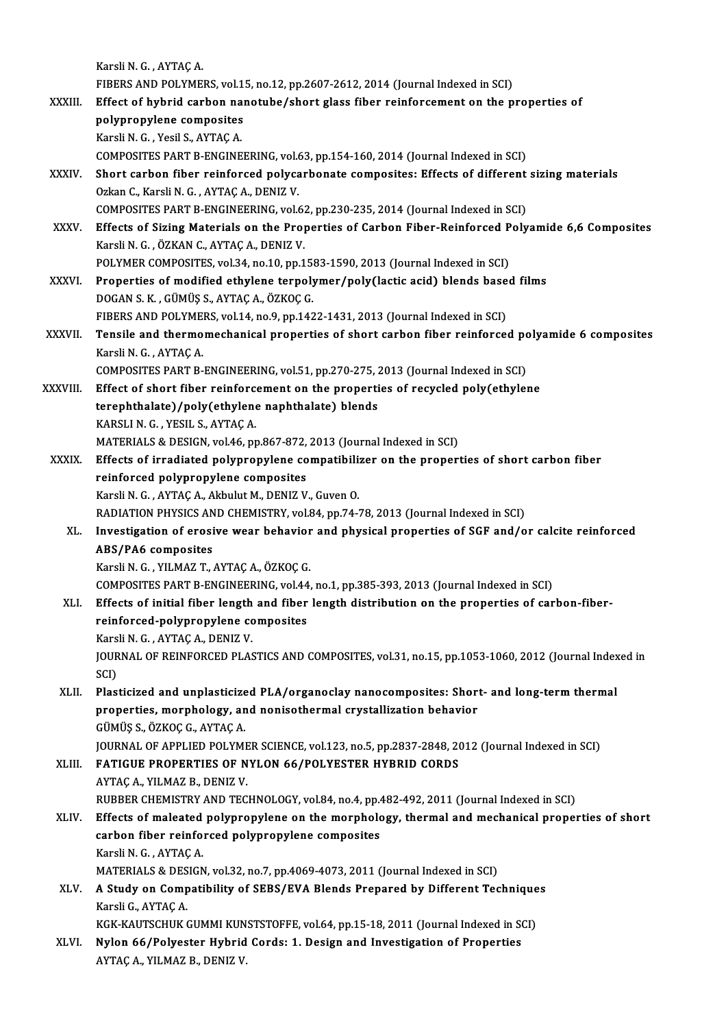|               | Karsli N. G., AYTAÇ A.                                                                                                                                        |
|---------------|---------------------------------------------------------------------------------------------------------------------------------------------------------------|
|               | FIBERS AND POLYMERS, vol.15, no.12, pp.2607-2612, 2014 (Journal Indexed in SCI)                                                                               |
| <b>XXXIII</b> | Effect of hybrid carbon nanotube/short glass fiber reinforcement on the properties of                                                                         |
|               | polypropylene composites                                                                                                                                      |
|               | Karsli N. G., Yesil S., AYTAÇ A.                                                                                                                              |
|               | COMPOSITES PART B-ENGINEERING, vol.63, pp.154-160, 2014 (Journal Indexed in SCI)                                                                              |
| XXXIV.        | Short carbon fiber reinforced polycarbonate composites: Effects of different sizing materials                                                                 |
|               | Ozkan C., Karsli N. G., AYTAÇ A., DENIZ V.                                                                                                                    |
|               | COMPOSITES PART B-ENGINEERING, vol.62, pp.230-235, 2014 (Journal Indexed in SCI)                                                                              |
| XXXV.         | Effects of Sizing Materials on the Properties of Carbon Fiber-Reinforced Polyamide 6,6 Composites                                                             |
|               | Karsli N. G., ÖZKAN C., AYTAÇ A., DENIZ V.                                                                                                                    |
|               | POLYMER COMPOSITES, vol.34, no.10, pp.1583-1590, 2013 (Journal Indexed in SCI)                                                                                |
| <b>XXXVI</b>  | Properties of modified ethylene terpolymer/poly(lactic acid) blends based films                                                                               |
|               | DOGAN S. K., GÜMÜŞ S., AYTAÇ A., ÖZKOÇ G.                                                                                                                     |
|               | FIBERS AND POLYMERS, vol.14, no.9, pp.1422-1431, 2013 (Journal Indexed in SCI)                                                                                |
| <b>XXXVII</b> | Tensile and thermomechanical properties of short carbon fiber reinforced polyamide 6 composites                                                               |
|               | Karsli N. G., AYTAÇ A.                                                                                                                                        |
|               | COMPOSITES PART B-ENGINEERING, vol.51, pp.270-275, 2013 (Journal Indexed in SCI)                                                                              |
| XXXVIII.      | Effect of short fiber reinforcement on the properties of recycled poly(ethylene                                                                               |
|               | terephthalate)/poly(ethylene naphthalate) blends                                                                                                              |
|               | KARSLI N. G., YESIL S., AYTAÇ A.                                                                                                                              |
|               | MATERIALS & DESIGN, vol.46, pp.867-872, 2013 (Journal Indexed in SCI)                                                                                         |
| <b>XXXIX</b>  | Effects of irradiated polypropylene compatibilizer on the properties of short carbon fiber                                                                    |
|               | reinforced polypropylene composites<br>Karsli N. G., AYTAÇ A., Akbulut M., DENIZ V., Guven O.                                                                 |
|               | RADIATION PHYSICS AND CHEMISTRY, vol.84, pp.74-78, 2013 (Journal Indexed in SCI)                                                                              |
| XL.           | Investigation of erosive wear behavior and physical properties of SGF and/or calcite reinforced                                                               |
|               | <b>ABS/PA6</b> composites                                                                                                                                     |
|               | Karsli N. G., YILMAZ T., AYTAÇ A., ÖZKOÇ G.                                                                                                                   |
|               | COMPOSITES PART B-ENGINEERING, vol.44, no.1, pp.385-393, 2013 (Journal Indexed in SCI)                                                                        |
| XLI.          | Effects of initial fiber length and fiber length distribution on the properties of carbon-fiber-                                                              |
|               | reinforced-polypropylene composites                                                                                                                           |
|               | Karsli N G , AYTAÇ A , DENIZ V.                                                                                                                               |
|               | JOURNAL OF REINFORCED PLASTICS AND COMPOSITES, vol.31, no.15, pp.1053-1060, 2012 (Journal Indexed in                                                          |
|               | SCI)                                                                                                                                                          |
| XLII.         | Plasticized and unplasticized PLA/organoclay nanocomposites: Short- and long-term thermal                                                                     |
|               | properties, morphology, and nonisothermal crystallization behavior                                                                                            |
|               | GÜMÜŞ S., ÖZKOÇ G., AYTAÇ A.                                                                                                                                  |
|               | JOURNAL OF APPLIED POLYMER SCIENCE, vol.123, no.5, pp.2837-2848, 2012 (Journal Indexed in SCI)                                                                |
| XLIII.        | <b>FATIGUE PROPERTIES OF NYLON 66/POLYESTER HYBRID CORDS</b>                                                                                                  |
|               | AYTAÇ A, YILMAZ B, DENIZ V.                                                                                                                                   |
|               | RUBBER CHEMISTRY AND TECHNOLOGY, vol.84, no.4, pp.482-492, 2011 (Journal Indexed in SCI)                                                                      |
| XLIV.         | Effects of maleated polypropylene on the morphology, thermal and mechanical properties of short                                                               |
|               | carbon fiber reinforced polypropylene composites<br>Karsli N. G., AYTAÇ A.                                                                                    |
|               |                                                                                                                                                               |
| XLV.          | MATERIALS & DESIGN, vol.32, no.7, pp.4069-4073, 2011 (Journal Indexed in SCI)<br>A Study on Compatibility of SEBS/EVA Blends Prepared by Different Techniques |
|               | Karsli G., AYTAÇ A                                                                                                                                            |
|               | KGK-KAUTSCHUK GUMMI KUNSTSTOFFE, vol.64, pp.15-18, 2011 (Journal Indexed in SCI)                                                                              |
| XLVI.         | Nylon 66/Polyester Hybrid Cords: 1. Design and Investigation of Properties                                                                                    |
|               | AYTAÇ A, YILMAZ B, DENIZ V.                                                                                                                                   |
|               |                                                                                                                                                               |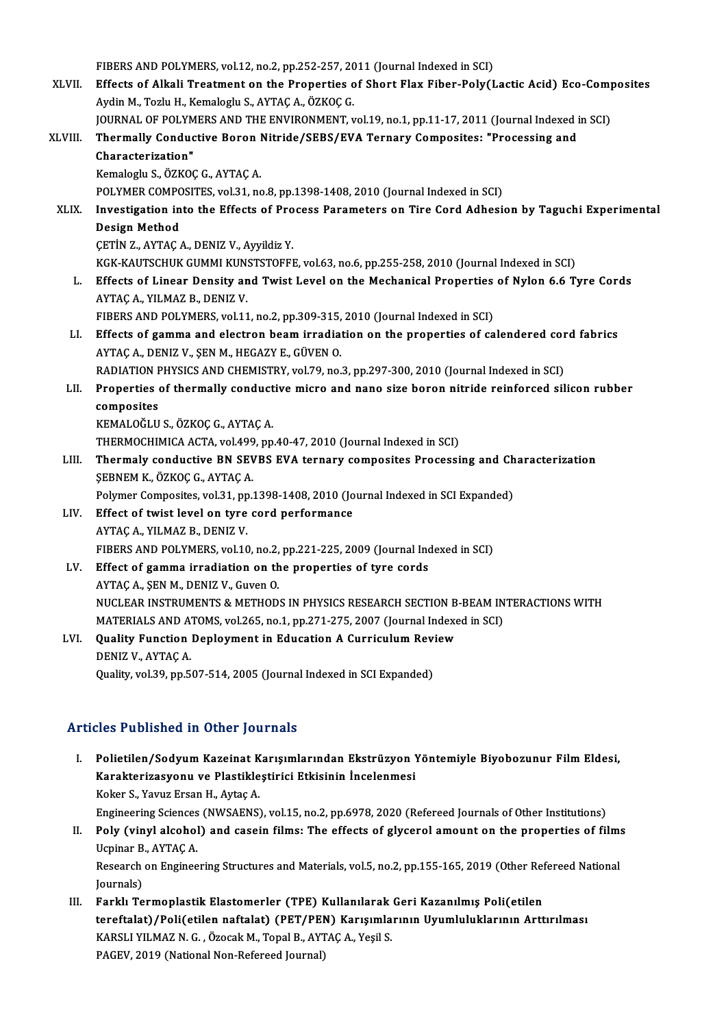FIBERS AND POLYMERS, vol.12, no.2, pp.252-257, 2011 (Journal Indexed in SCI)<br>Fffects of Alkeli Treatment on the Preparties of Shart Flay Fiber Belv(J

FIBERS AND POLYMERS, vol.12, no.2, pp.252-257, 2011 (Journal Indexed in SCI)<br>XLVII. Effects of Alkali Treatment on the Properties of Short Flax Fiber-Poly(Lactic Acid) Eco-Composites FIBERS AND POLYMERS, vol.12, no.2, pp.252-257, 20<br>Effects of Alkali Treatment on the Properties of<br>Aydin M., Tozlu H., Kemaloglu S., AYTAÇ A., ÖZKOÇ G.<br>JOUPNAL OF POLYMERS AND THE ENVIRONMENT T Effects of Alkali Treatment on the Properties of Short Flax Fiber-Poly(Lactic Acid) Eco-Comp<br>Aydin M., Tozlu H., Kemaloglu S., AYTAÇ A., ÖZKOÇ G.<br>JOURNAL OF POLYMERS AND THE ENVIRONMENT, vol.19, no.1, pp.11-17, 2011 (Journ Aydin M., Tozlu H., Kemaloglu S., AYTAÇ A., ÖZKOÇ G.<br>JOURNAL OF POLYMERS AND THE ENVIRONMENT, vol.19, no.1, pp.11-17, 2011 (Journal Indexed<br>XLVIII. Thermally Conductive Boron Nitride/SEBS/EVA Ternary Composites: "Proce JOURNAL OF POLYMERS AND THE ENVIRONMENT, vol.19, no.1, pp.11-17, 2011 (Journal Indexed in SCI)

Kemaloglu S.,ÖZKOÇG.,AYTAÇA. POLYMER COMPOSITES, vol.31, no.8, pp.1398-1408, 2010 (Journal Indexed in SCI)

## Kemaloglu S., ÖZKOÇ G., AYTAÇ A.<br>POLYMER COMPOSITES, vol.31, no.8, pp.1398-1408, 2010 (Journal Indexed in SCI)<br>XLIX. Investigation into the Effects of Process Parameters on Tire Cord Adhesion by Taguchi Experimental<br>Design POLYMER COMPO<br>Investigation in<br>Design Method<br>CETIN 7 AVTAC Investigation into the Effects of Pro<br>Design Method<br>ÇETİN Z., AYTAÇ A., DENIZ V., Ayyildiz Y.<br>*VCV VAUTSCUUV CUMM VUNSTSTORR* Design Method<br>ÇETİN Z., AYTAÇ A., DENIZ V., Ayyildiz Y.<br>KGK-KAUTSCHUK GUMMI KUNSTSTOFFE, vol.63, no.6, pp.255-258, 2010 (Journal Indexed in SCI)

CETIN Z., AYTAC A., DENIZ V., Ayyildiz Y.<br>KGK-KAUTSCHUK GUMMI KUNSTSTOFFE, vol.63, no.6, pp.255-258, 2010 (Journal Indexed in SCI)<br>L. Effects of Linear Density and Twist Level on the Mechanical Properties of Nylon 6.6 Tyre KGK-KAUTSCHUK GUMMI KUN:<br>Effects of Linear Density an<br>AYTAÇ A., YILMAZ B., DENIZ V.<br>EIBERS AND POLYMERS vol 11 Effects of Linear Density and Twist Level on the Mechanical Properties<br>AYTAÇ A., YILMAZ B., DENIZ V.<br>FIBERS AND POLYMERS, vol.11, no.2, pp.309-315, 2010 (Journal Indexed in SCI)<br>Fffects of somme and electron beam invedicti

- AYTAÇ A., YILMAZ B., DENIZ V.<br>FIBERS AND POLYMERS, vol.11, no.2, pp.309-315, 2010 (Journal Indexed in SCI)<br>LI. Effects of gamma and electron beam irradiation on the properties of calendered cord fabrics<br>AYTAÇ A., DENIZ V., FIBERS AND POLYMERS, vol.11, no.2, pp.309-315,<br>Effects of gamma and electron beam irradia<br>AYTAÇ A., DENIZ V., ŞEN M., HEGAZY E., GÜVEN O.<br>RADIATION BUYSICS AND CUEMISTRY vol.70, no. Effects of gamma and electron beam irradiation on the properties of calendered cor<br>AYTAÇ A., DENIZ V., ŞEN M., HEGAZY E., GÜVEN O.<br>RADIATION PHYSICS AND CHEMISTRY, vol.79, no.3, pp.297-300, 2010 (Journal Indexed in SCI)<br>Pr
- AYTAÇ A., DENIZ V., ŞEN M., HEGAZY E., GÜVEN 0.<br>RADIATION PHYSICS AND CHEMISTRY, vol.79, no.3, pp.297-300, 2010 (Journal Indexed in SCI)<br>LII. Properties of thermally conductive micro and nano size boron nitride reinforced RADIATION F<br>Properties<br>composites<br>KEMALOČLU Properties of thermally conduct<br>composites<br>KEMALOĞLU S., ÖZKOÇ G., AYTAÇ A.<br>THEPMOCHIMICA ACTA .vol 499. pp.

composites<br>KEMALOĞLU S., ÖZKOÇ G., AYTAÇ A.<br>THERMOCHIMICA ACTA, vol.499, pp.40-47, 2010 (Journal Indexed in SCI)

LIII. Thermaly conductive BN SEVBS EVA ternary composites Processing and Characterization SEBNEM K., ÖZKOÇ G., AYTAÇ A. Thermaly conductive BN SEVBS EVA ternary composites Processing and Ch<br>SEBNEM K., ÖZKOÇ G., AYTAÇ A.<br>Polymer Composites, vol.31, pp.1398-1408, 2010 (Journal Indexed in SCI Expanded)<br>Effect of twist lovel on tyre sord perfor

- SEBNEM K., ÖZKOÇ G., AYTAÇ A.<br>Polymer Composites, vol.31, pp.1398-1408, 2010 (Jo<br>LIV. Effect of twist level on tyre cord performance<br>AVTAC A. VILMAZ B. DENIZ V. Polymer Composites, vol.31, pp<br>Effect of twist level on tyre<br>AYTAÇ A., YILMAZ B., DENIZ V.<br>FIBERS AND POLYMERS vol.10 LIV. Effect of twist level on tyre cord performance<br>AYTAÇ A., YILMAZ B., DENIZ V.<br>FIBERS AND POLYMERS, vol.10, no.2, pp.221-225, 2009 (Journal Indexed in SCI) AYTAÇ A., YILMAZ B., DENIZ V.<br>FIBERS AND POLYMERS, vol.10, no.2, pp.221-225, 2009 (Journal Inc<br>LV. Effect of gamma irradiation on the properties of tyre cords<br>AYTAC A. SEN M. DENIZ V. Cuyon O.
- FIBERS AND POLYMERS, vol.10, no.2,<br>Effect of gamma irradiation on th<br>AYTAÇ A., ŞEN M., DENIZ V., Guven O.<br>NUCLEAR INSTRUMENTS & METHOD. AYTAÇ A., ŞEN M., DENIZ V., Guven O.<br>NUCLEAR INSTRUMENTS & METHODS IN PHYSICS RESEARCH SECTION B-BEAM INTERACTIONS WITH MATERIALS AND ATOMS, vol.265, no.1, pp.271-275, 2007 (Journal Indexed in SCI) NUCLEAR INSTRUMENTS & METHODS IN PHYSICS RESEARCH SECTION B<br>MATERIALS AND ATOMS, vol.265, no.1, pp.271-275, 2007 (Journal Indexe<br>LVI. Quality Function Deployment in Education A Curriculum Review
- MATERIALS AND A'<br>Quality Function<br>DENIZ V., AYTAÇ A.<br>Quality val 20, nn E. Quality Function Deployment in Education A Curriculum Revi<br>DENIZ V., AYTAÇ A.<br>Quality, vol.39, pp.507-514, 2005 (Journal Indexed in SCI Expanded) Quality, vol.39, pp.507-514, 2005 (Journal Indexed in SCI Expanded)<br>Articles Published in Other Journals

- I. Polietilen/SodyumKazeinat Karışımlarından Ekstrüzyon Yöntemiyle Biyobozunur FilmEldesi, XCS I dishished III olner journals<br>Polietilen/Sodyum Kazeinat Karışımlarından Ekstrüzyon 1<br>Karakterizasyonu ve Plastikleştirici Etkisinin İncelenmesi Polietilen/Sodyum Kazeinat K<br>Karakterizasyonu ve Plastikle<br>Koker S., Yavuz Ersan H., Aytaç A.<br>Engineering Sciences (NWSAENS) Koker S., Yavuz Ersan H., Aytaç A.<br>Engineering Sciences (NWSAENS), vol.15, no.2, pp.6978, 2020 (Refereed Journals of Other Institutions) Koker S., Yavuz Ersan H., Aytaç A.<br>Engineering Sciences (NWSAENS), vol.15, no.2, pp.6978, 2020 (Refereed Journals of Other Institutions)<br>II. Poly (vinyl alcohol) and casein films: The effects of glycerol amount on the prop
- Engineering Sciences<br>Poly (vinyl alcohol<br>Ucpinar B., AYTAÇ A.<br>Besearsh on Engines Poly (vinyl alcohol) and casein films: The effects of glycerol amount on the properties of film:<br>Ucpinar B., AYTAÇ A.<br>Research on Engineering Structures and Materials, vol.5, no.2, pp.155-165, 2019 (Other Refereed National Ucpinar B., AYTAÇ A.<br>Research on Engineering Structures and Materials, vol.5, no.2, pp.155-165, 2019 (Other Refereed National<br>Journals) Research on Engineering Structures and Materials, vol.5, no.2, pp.155-165, 2019 (Other Ref<br>Journals)<br>III. Farklı Termoplastik Elastomerler (TPE) Kullanılarak Geri Kazanılmış Poli(etilen<br>teneftelet) (Beli(etilen neftelet) (
- Journals)<br>Farklı Termoplastik Elastomerler (TPE) Kullanılarak Geri Kazanılmış Poli(etilen<br>tereftalat)/Poli(etilen naftalat) (PET/PEN) Karışımlarının Uyumluluklarının Arttırılması<br>KARSLLYU MAZ N.C. ÖZQSRLM, Topel B. AYTAC A Farklı Termoplastik Elastomerler (TPE) Kullanılarak<br>tereftalat)/Poli(etilen naftalat) (PET/PEN) Karışımla<br>KARSLI YILMAZ N. G., Özocak M., Topal B., AYTAÇ A., Yeşil S.<br>PACEV. 2010 (National Non Pefereed Jaumal) tereftalat)/Poli(etilen naftalat) (PET/PEN<br>KARSLI YILMAZ N. G. , Özocak M., Topal B., AYT<br>PAGEV, 2019 (National Non-Refereed Journal)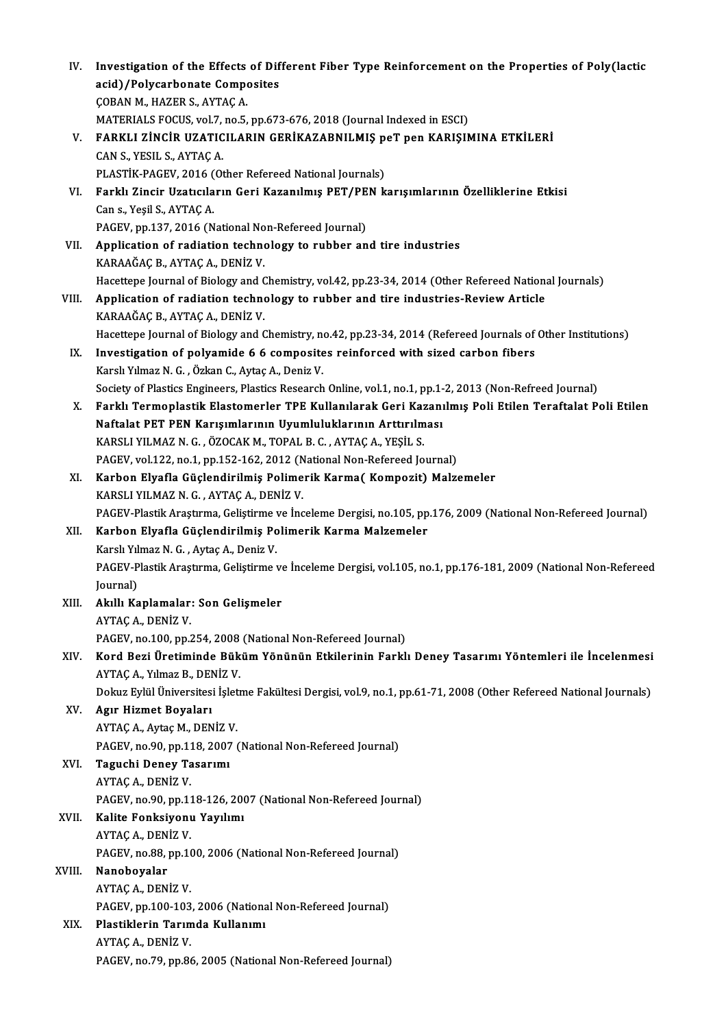| IV.    | Investigation of the Effects of Different Fiber Type Reinforcement on the Properties of Poly(lactic                |
|--------|--------------------------------------------------------------------------------------------------------------------|
|        | acid)/Polycarbonate Composites                                                                                     |
|        | ÇOBAN M., HAZER S., AYTAÇ A.                                                                                       |
|        | MATERIALS FOCUS, vol.7, no.5, pp.673-676, 2018 (Journal Indexed in ESCI)                                           |
| V.     | FARKLI ZİNCİR UZATICILARIN GERİKAZABNILMIŞ peT pen KARIŞIMINA ETKİLERİ                                             |
|        | CAN S., YESIL S., AYTAÇ A.                                                                                         |
|        | PLASTİK-PAGEV, 2016 (Other Refereed National Journals)                                                             |
| VI.    | Farklı Zincir Uzatıcıların Geri Kazanılmış PET/PEN karışımlarının Özelliklerine Etkisi                             |
|        | Can s., Yeşil S., AYTAÇ A.                                                                                         |
|        | PAGEV, pp.137, 2016 (National Non-Refereed Journal)                                                                |
| VII.   | Application of radiation technology to rubber and tire industries                                                  |
|        | KARAAĞAÇ B., AYTAÇ A., DENİZ V.                                                                                    |
|        | Hacettepe Journal of Biology and Chemistry, vol.42, pp.23-34, 2014 (Other Refereed National Journals)              |
| VIII.  | Application of radiation technology to rubber and tire industries-Review Article                                   |
|        | KARAAĞAÇ B., AYTAÇ A., DENİZ V.                                                                                    |
|        | Hacettepe Journal of Biology and Chemistry, no.42, pp.23-34, 2014 (Refereed Journals of Other Institutions)        |
| IX.    | Investigation of polyamide 6 6 composites reinforced with sized carbon fibers                                      |
|        | Karslı Yılmaz N. G., Özkan C., Aytaç A., Deniz V.                                                                  |
|        | Society of Plastics Engineers, Plastics Research Online, vol.1, no.1, pp.1-2, 2013 (Non-Refreed Journal)           |
| Х.     | Farklı Termoplastik Elastomerler TPE Kullanılarak Geri Kazanılmış Poli Etilen Teraftalat Poli Etilen               |
|        | Naftalat PET PEN Karışımlarının Uyumluluklarının Arttırılması                                                      |
|        | KARSLI YILMAZ N. G., ÖZOCAK M., TOPAL B. C., AYTAÇ A., YEŞİL S.                                                    |
|        | PAGEV, vol.122, no.1, pp.152-162, 2012 (National Non-Refereed Journal)                                             |
| XI.    | Karbon Elyafla Güçlendirilmiş Polimerik Karma( Kompozit) Malzemeler                                                |
|        | KARSLI YILMAZ N. G., AYTAÇ A., DENİZ V.                                                                            |
|        | PAGEV-Plastik Araştırma, Geliştirme ve İnceleme Dergisi, no.105, pp.176, 2009 (National Non-Refereed Journal)      |
| XII.   | Karbon Elyafla Güçlendirilmiş Polimerik Karma Malzemeler                                                           |
|        | Karslı Yılmaz N. G., Aytaç A., Deniz V.                                                                            |
|        | PAGEV-Plastik Araştırma, Geliştirme ve İnceleme Dergisi, vol.105, no.1, pp.176-181, 2009 (National Non-Refereed    |
|        | Journal)                                                                                                           |
| XIII.  | Akıllı Kaplamalar: Son Gelişmeler                                                                                  |
|        | AYTAÇ A, DENİZ V.                                                                                                  |
|        | PAGEV, no.100, pp.254, 2008 (National Non-Refereed Journal)                                                        |
| XIV.   | Kord Bezi Üretiminde Büküm Yönünün Etkilerinin Farklı Deney Tasarımı Yöntemleri ile İncelenmesi                    |
|        | AYTAÇ A., Yılmaz B., DENİZ V.                                                                                      |
|        | Dokuz Eylül Üniversitesi İşletme Fakültesi Dergisi, vol.9, no.1, pp.61-71, 2008 (Other Refereed National Journals) |
| XV.    | Agır Hizmet Boyaları                                                                                               |
|        | AYTAÇ A., Aytaç M., DENİZ V.                                                                                       |
|        | PAGEV, no.90, pp.118, 2007 (National Non-Refereed Journal)                                                         |
| XVI.   | Taguchi Deney Tasarımı                                                                                             |
|        | AYTAÇ A., DENİZ V.                                                                                                 |
|        | PAGEV, no.90, pp.118-126, 2007 (National Non-Refereed Journal)                                                     |
| XVII.  | Kalite Fonksiyonu Yayılımı                                                                                         |
|        | AYTAÇ A., DENİZ V.                                                                                                 |
|        | PAGEV, no.88, pp.100, 2006 (National Non-Refereed Journal)                                                         |
| XVIII. | Nanoboyalar                                                                                                        |
|        | AYTAÇ A., DENİZ V.                                                                                                 |
|        | PAGEV, pp.100-103, 2006 (National Non-Refereed Journal)                                                            |
| XIX.   | Plastiklerin Tarımda Kullanımı                                                                                     |
|        | AYTAÇ A., DENİZ V.                                                                                                 |
|        | PAGEV, no.79, pp.86, 2005 (National Non-Refereed Journal)                                                          |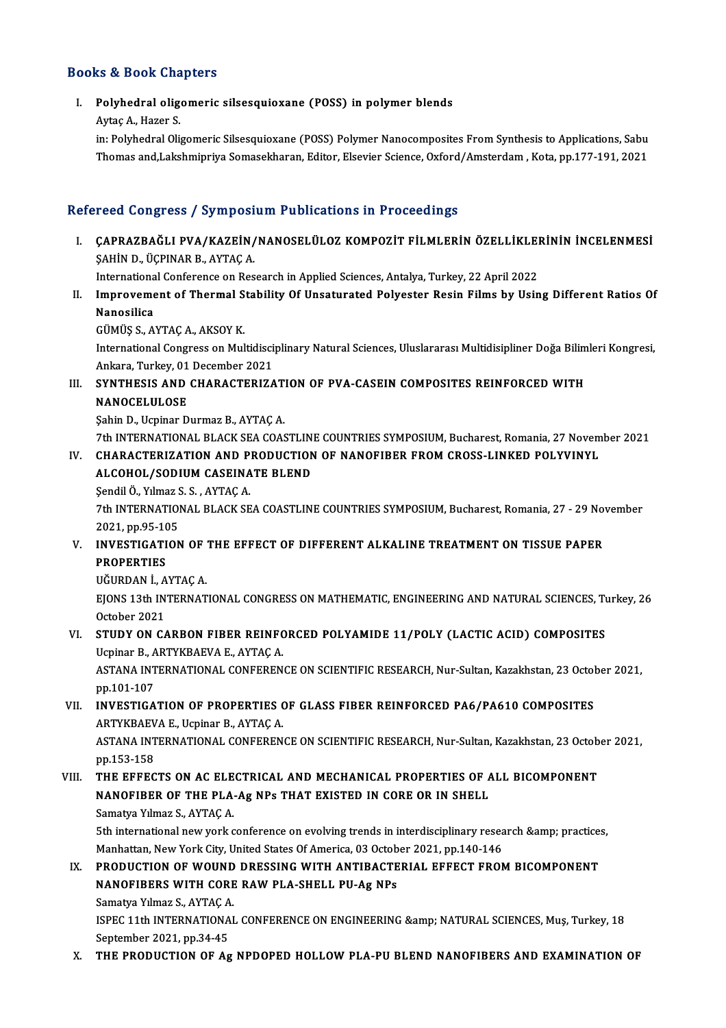### Books&Book Chapters

ooks & Book Chapters<br>I. Polyhedral oligomeric silsesquioxane (POSS) in polymer blends<br> <sup>Aytoc A, Hogor S</sup>

Aytaç A., Hazer S.<br>Polyhedral olig<br>Aytaç A., Hazer S.<br>in: Polyhedral Oli

Polyhedral oligomeric silsesquioxane (POSS) in polymer blends<br>Aytaç A., Hazer S.<br>in: Polyhedral Oligomeric Silsesquioxane (POSS) Polymer Nanocomposites From Synthesis to Applications, Sabu<br>Themes and Lakabujingiya Semesekb Aytaç A., Hazer S.<br>in: Polyhedral Oligomeric Silsesquioxane (POSS) Polymer Nanocomposites From Synthesis to Applications, Sabu<br>Thomas and,Lakshmipriya Somasekharan, Editor, Elsevier Science, Oxford/Amsterdam , Kota, pp.177 Thomas and,Lakshmipriya Somasekharan, Editor, Elsevier Science, Oxford/Amsterdam , Kota, pp.177-191, 2021<br>Refereed Congress / Symposium Publications in Proceedings

efereed Congress / Symposium Publications in Proceedings<br>I. CAPRAZBAĞLI PVA/KAZEİN/NANOSELÜLOZ KOMPOZİT FİLMLERİN ÖZELLİKLERİNİN İNCELENMESİ<br>SAHİN D. ÜÇPINAR B. AVTAC A SOG GÖNESÖÖ / ÖJ MPÖD.<br>ÇAPRAZBAĞLI PVA/KAZEİN/<br>ŞAHİN D., ÜÇPINAR B., AYTAÇ A. CAPRAZBAĞLI PVA/KAZEİN/NANOSELÜLOZ KOMPOZİT FİLMLERİN ÖZELLİKLEI<br>ŞAHİN D., ÜÇPINAR B., AYTAÇ A.<br>International Conference on Research in Applied Sciences, Antalya, Turkey, 22 April 2022<br>Improvement of Thermal Stability Of U

International Conference on Research in Applied Sciences, Antalya, Turkey, 22 April 2022

SAHIN D., ÜÇPINAR B., AYTAÇ A.<br>International Conference on Research in Applied Sciences, Antalya, Turkey, 22 April 2022<br>II. Improvement of Thermal Stability Of Unsaturated Polyester Resin Films by Using Different Ratios Of

GÜMÜŞ S.,AYTAÇA.,AKSOYK.

Nanosilica<br>GÜMÜŞ S., AYTAÇ A., AKSOY K.<br>International Congress on Multidisciplinary Natural Sciences, Uluslararası Multidisipliner Doğa Bilimleri Kongresi, GÜMÜŞ S., AYTAÇ A., AKSOY K.<br>International Congress on Multidisci<br>Ankara, Turkey, 01 December 2021<br>SYNTHESIS AND GHABACTERIZA International Congress on Multidisciplinary Natural Sciences, Uluslararası Multidisipliner Doğa Bilim<br>Ankara, Turkey, 01 December 2021<br>III. SYNTHESIS AND CHARACTERIZATION OF PVA-CASEIN COMPOSITES REINFORCED WITH<br>NANOCELULO

Ankara, Turkey, 01 December 2021<br>III. SYNTHESIS AND CHARACTERIZATION OF PVA-CASEIN COMPOSITES REINFORCED WITH<br>NANOCELULOSE

Şahin D., Ucpinar Durmaz B., AYTAÇ A.

7th INTERNATIONALBLACKSEACOASTLINECOUNTRIES SYMPOSIUM,Bucharest,Romania,27November 2021

## IV. CHARACTERIZATION AND PRODUCTION OF NANOFIBER FROMCROSS-LINKED POLYVINYL ALCOHOL/SODIUMCASEINATE BLEND CHARACTERIZATION AND P<br>ALCOHOL/SODIUM CASEINA<br>Şendil Ö., Yılmaz S. S. , AYTAÇ A.<br>7th INTERNATIONAL BLACK SE

ALCOHOL/SODIUM CASEINATE BLEND<br>Şendil Ö., Yılmaz S. S. , AYTAÇ A.<br>7th INTERNATIONAL BLACK SEA COASTLINE COUNTRIES SYMPOSIUM, Bucharest, Romania, 27 - 29 November<br>2021, PR.05, 105 Sendil Ö., Yılmaz S<br>7th INTERNATIOI<br>2021, pp.95-105<br>INVESTIC ATION Th INTERNATIONAL BLACK SEA COASTLINE COUNTRIES SYMPOSIUM, Bucharest, Romania, 27 - 29 No.<br>2021, pp.95-105<br>V. INVESTIGATION OF THE EFFECT OF DIFFERENT ALKALINE TREATMENT ON TISSUE PAPER<br>REAPERTIES

2021, pp.95-105<br>V. INVESTIGATION OF THE EFFECT OF DIFFERENT ALKALINE TREATMENT ON TISSUE PAPER<br>PROPERTIES INVESTIGATION OF<br>PROPERTIES<br>UĞURDAN İ., AYTAÇ A.<br>FIONS 12th INTERNAT

EJONS 13th INTERNATIONAL CONGRESS ON MATHEMATIC, ENGINEERING AND NATURAL SCIENCES, Turkey, 26<br>October 2021 UĞURDAN İ., A<br>EJONS 13th IN<br>October 2021<br>STUDY ON CA EJONS 13th INTERNATIONAL CONGRESS ON MATHEMATIC, ENGINEERING AND NATURAL SCIENCES, Tu<br>October 2021<br>VI. STUDY ON CARBON FIBER REINFORCED POLYAMIDE 11/POLY (LACTIC ACID) COMPOSITES<br>Uspinar B. ARTWEAEVA E. AYTAC A

# October 2021<br>STUDY ON CARBON FIBER REINFC<br>Ucpinar B., ARTYKBAEVA E., AYTAÇ A.<br>ASTANA INTERNATIONAL CONFEREN

STUDY ON CARBON FIBER REINFORCED POLYAMIDE 11/POLY (LACTIC ACID) COMPOSITES<br>Ucpinar B., ARTYKBAEVA E., AYTAÇ A.<br>ASTANA INTERNATIONAL CONFERENCE ON SCIENTIFIC RESEARCH, Nur-Sultan, Kazakhstan, 23 October 2021,<br>nn 101 107 Ucpinar B., ARTYKBAEVA E., AYTAÇ A.<br>ASTANA INTERNATIONAL CONFERENCE ON SCIENTIFIC RESEARCH, Nur-Sultan, Kazakhstan, 23 October 2021,<br>pp.101-107 ASTANA INTERNATIONAL CONFERENCE ON SCIENTIFIC RESEARCH, Nur-Sultan, Kazakhstan, 23 Octol<br>pp.101-107<br>VII. INVESTIGATION OF PROPERTIES OF GLASS FIBER REINFORCED PA6/PA610 COMPOSITES

# pp.101-107<br>INVESTIGATION OF PROPERTIES (<br>ARTYKBAEVA E., Ucpinar B., AYTAÇ A.<br>ASTANA INTERNATIONAL CONFEREN. INVESTIGATION OF PROPERTIES OF GLASS FIBER REINFORCED PA6/PA610 COMPOSITES<br>ARTYKBAEVA E., Ucpinar B., AYTAÇ A.<br>ASTANA INTERNATIONAL CONFERENCE ON SCIENTIFIC RESEARCH, Nur-Sultan, Kazakhstan, 23 October 2021,<br>nn 152 159

**ARTYKBAEV<br>ASTANA INT<br>pp.153-158<br>THE EEEEC** ASTANA INTERNATIONAL CONFERENCE ON SCIENTIFIC RESEARCH, Nur-Sultan, Kazakhstan, 23 Octob<br>pp.153-158<br>VIII. THE EFFECTS ON AC ELECTRICAL AND MECHANICAL PROPERTIES OF ALL BICOMPONENT<br>NANOEIPER OF THE BLA AS NRS THAT EXISTED I

# pp.153-158<br>THE EFFECTS ON AC ELECTRICAL AND MECHANICAL PROPERTIES OF A<br>NANOFIBER OF THE PLA-Ag NPs THAT EXISTED IN CORE OR IN SHELL<br>Samatra Vilmar S. AVTAC A THE EFFECTS ON AC ELE<br>NANOFIBER OF THE PLA-<br>Samatya Yılmaz S., AYTAÇ A.<br>Eth international new york e

NANOFIBER OF THE PLA-Ag NPs THAT EXISTED IN CORE OR IN SHELL<br>Samatya Yılmaz S., AYTAÇ A.<br>5th international new york conference on evolving trends in interdisciplinary research &amp; practices,<br>Manhattan Now York City, Unit Samatya Yılmaz S., AYTAÇ A.<br>5th international new york conference on evolving trends in interdisciplinary resea<br>Manhattan, New York City, United States Of America, 03 October 2021, pp.140-146<br>PRODUCTION OF WOUND DRESSING W 5th international new york conference on evolving trends in interdisciplinary research & practice:<br>Manhattan, New York City, United States Of America, 03 October 2021, pp.140-146<br>IX. PRODUCTION OF WOUND DRESSING WITH A

## Manhattan, New York City, United States Of America, 03 October 2021, pp.140-146<br>PRODUCTION OF WOUND DRESSING WITH ANTIBACTERIAL EFFECT FROM BICOMPONENT<br>NANOFIBERS WITH CORE RAW PLA-SHELL PU-Ag NPs<br>Samatya Yılmaz S., AYTAC NANOFIBERS WITH CORE RAW PLA-SHELL PU-Ag NPs NANOFIBERS WITH CORE RAW PLA-SHELL PU-Ag NPs<br>Samatya Yılmaz S., AYTAÇ A.<br>ISPEC 11th INTERNATIONAL CONFERENCE ON ENGINEERING &amp; NATURAL SCIENCES, Muş, Turkey, 18<br>Santambar 2021, nn 24,45.

Samatya Yılmaz S., AYTAÇ A<br>ISPEC 11th INTERNATIONA<br>September 2021, pp.34-45<br>THE PRODUCTION OF AS ISPEC 11th INTERNATIONAL CONFERENCE ON ENGINEERING & NATURAL SCIENCES, Muş, Turkey, 18<br>September 2021, pp.34-45<br>X. THE PRODUCTION OF Ag NPDOPED HOLLOW PLA-PU BLEND NANOFIBERS AND EXAMINATION OF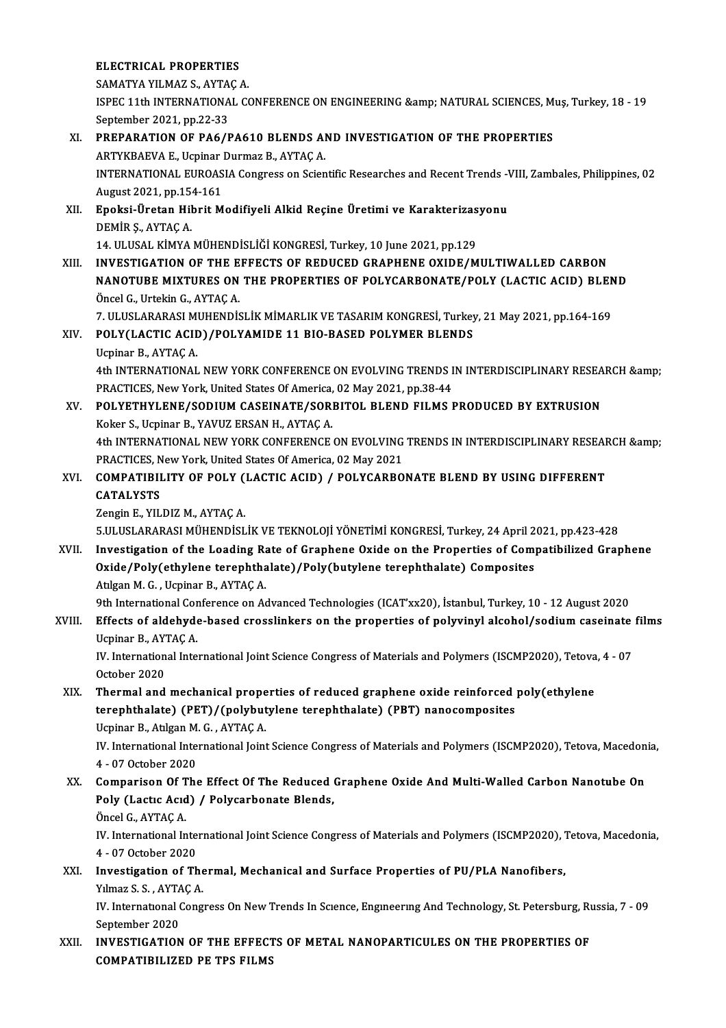### ELECTRICAL PROPERTIES

SAMATYA YILMAZ S., AYTAÇ A.

ELECTRICAL PROPERTIES<br>SAMATYA YILMAZ S., AYTAÇ A.<br>ISPEC 11th INTERNATIONAL CONFERENCE ON ENGINEERING &amp; NATURAL SCIENCES, Muş, Turkey, 18 - 19<br>Sentember 2021, PD 22, 22 SAMATYA YILMAZ S., AYTA<br>ISPEC 11th INTERNATIONA<br>September 2021, pp.22-33<br>PREBARATION OF BA645 ISPEC 11th INTERNATIONAL CONFERENCE ON ENGINEERING & NATURAL SCIENCES, M<br>September 2021, pp.22-33<br>XI. PREPARATION OF PA6/PA610 BLENDS AND INVESTIGATION OF THE PROPERTIES<br>APTYKPAEVA E Hepipar Durmag B AYTAC A

September 2021, pp.22-33<br>PREPARATION OF PA6/PA610 BLENDS AI<br>ARTYKBAEVA E., Ucpinar Durmaz B., AYTAÇ A.<br>INTERNATIONAL EUROASIA GORTESS OR Scien PREPARATION OF PA6/PA610 BLENDS AND INVESTIGATION OF THE PROPERTIES<br>ARTYKBAEVA E., Ucpinar Durmaz B., AYTAÇ A.<br>INTERNATIONAL EUROASIA Congress on Scientific Researches and Recent Trends -VIII, Zambales, Philippines, 02<br>Aug ARTYKBAEVA E., Ucpinar<br>INTERNATIONAL EUROAS<br>August 2021, pp.154-161<br>Englai Üretan Hibrit M INTERNATIONAL EUROASIA Congress on Scientific Researches and Recent Trends -<br>August 2021, pp.154-161<br>XII. Epoksi-Üretan Hibrit Modifiyeli Alkid Reçine Üretimi ve Karakterizasyonu<br>DEMİR S. AVTAC A August 2021, pp.15<br><mark>Epoksi-Üretan Hil</mark><br>DEMİR Ş., AYTAÇ A.<br>14 JU USAL KİMYA Epoksi-Üretan Hibrit Modifiyeli Alkid Reçine Üretimi ve Karakterizas<br>DEMİR Ş., AYTAÇ A.<br>14. ULUSAL KİMYA MÜHENDİSLİĞİ KONGRESİ, Turkey, 10 June 2021, pp.129<br>INVESTIC ATION OF TUE EFFECTS OF PEDUCED CRAPUENE OVIDE/M DEMİR Ş., AYTAÇ A.<br>14. ULUSAL KİMYA MÜHENDİSLİĞİ KONGRESİ, Turkey, 10 June 2021, pp.129<br>XIII. 1NVESTIGATION OF THE EFFECTS OF REDUCED GRAPHENE OXIDE/MULTIWALLED CARBON NANOTUBE MIXTURES ON THE PROPERTIES OF POLYCARBONATE/POLY (LACTIC ACID) BLEND Öncel G., Urtekin G., AYTAÇ A. NANOTUBE MIXTURES ON THE PROPERTIES OF POLYCARBONATE/POLY (LACTIC ACID) BLEN<br>Öncel G., Urtekin G., AYTAÇ A.<br>7. ULUSLARARASI MUHENDİSLİK MİMARLIK VE TASARIM KONGRESİ, Turkey, 21 May 2021, pp.164-169<br>POLYCLACTIC ACID) (POLYA XIV. POLY(LACTIC ACID)/POLYAMIDE 11 BIO-BASED POLYMER BLENDS<br>Ucpinar B., AYTAÇ A. 7. ULUSLARARASI MI<br>POLY (LACTIC ACII<br>Ucpinar B., AYTAÇ A.<br>4th INTERNATIONAL POLY(LACTIC ACID)/POLYAMIDE 11 BIO-BASED POLYMER BLENDS<br>Ucpinar B., AYTAÇ A.<br>4th INTERNATIONAL NEW YORK CONFERENCE ON EVOLVING TRENDS IN INTERDISCIPLINARY RESEARCH &amp;<br>PRACTICES, New York, United States Of America, 03 Ma Ucpinar B., AYTAÇ A.<br>4th INTERNATIONAL NEW YORK CONFERENCE ON EVOLVING TRENDS I<br>PRACTICES, New York, United States Of America, 02 May 2021, pp.38-44<br>POLYETHYLENE (SODLUM GASEINATE (SODBITOL BLEND EU MS I 4th INTERNATIONAL NEW YORK CONFERENCE ON EVOLVING TRENDS IN INTERDISCIPLINARY RESEA<br>PRACTICES, New York, United States Of America, 02 May 2021, pp.38-44<br>XV. POLYETHYLENE/SODIUM CASEINATE/SORBITOL BLEND FILMS PRODUCED BY EX PRACTICES, New York, United States Of America,<br>POLYETHYLENE/SODIUM CASEINATE/SORI<br>Koker S., Ucpinar B., YAVUZ ERSAN H., AYTAÇ A.<br>4th INTERNATIONAL NEW YORK CONEERENCE POLYETHYLENE/SODIUM CASEINATE/SORBITOL BLEND FILMS PRODUCED BY EXTRUSION<br>Koker S., Ucpinar B., YAVUZ ERSAN H., AYTAÇ A.<br>4th INTERNATIONAL NEW YORK CONFERENCE ON EVOLVING TRENDS IN INTERDISCIPLINARY RESEARCH &amp;<br>PRACTICES Koker S., Ucpinar B., YAVUZ ERSAN H., AYTAÇ A.<br>4th INTERNATIONAL NEW YORK CONFERENCE ON EVOLVING TRENDS IN INTERDISCIPLINARY RESEARCH &amp;<br>PRACTICES, New York, United States Of America, 02 May 2021 4th INTERNATIONAL NEW YORK CONFERENCE ON EVOLVING TRENDS IN INTERDISCIPLINARY RESEAF<br>PRACTICES, New York, United States Of America, 02 May 2021<br>XVI. COMPATIBILITY OF POLY (LACTIC ACID) / POLYCARBONATE BLEND BY USING DIFFER PRACTICES, N<br>COMPATIBII<br>CATALYSTS<br>Zongin E - VII COMPATIBILITY OF POLY (<br>CATALYSTS<br>Zengin E., YILDIZ M., AYTAÇ A.<br>E IILISI ARARASI MÜHENDİSI CATALYSTS<br>Zengin E., YILDIZ M., AYTAÇ A.<br>5.ULUSLARARASI MÜHENDİSLİK VE TEKNOLOJİ YÖNETİMİ KONGRESİ, Turkey, 24 April 2021, pp.423-428 XVII. Investigation of the Loading Rate of Graphene Oxide on the Properties of Compatibilized Graphene 5.ULUSLARARASI MÜHENDİSLİK VE TEKNOLOJİ YÖNETİMİ KONGRESİ, Turkey, 24 April 2<br>Investigation of the Loading Rate of Graphene Oxide on the Properties of Composites<br>Oxide/Poly(ethylene terephthalate)/Poly(butylene terephthala Investigation of the Loading Ra<br>Oxide/Poly(ethylene terephtha<br>Atılgan M. G. , Ucpinar B., AYTAÇ A.<br>Oth International Conference on Ac Atilgan M. G. , Ucpinar B., AYTAÇ A.<br>9th International Conference on Advanced Technologies (ICAT'xx20), İstanbul, Turkey, 10 - 12 August 2020 Atılgan M. G. , Ucpinar B., AYTAÇ A.<br>9th International Conference on Advanced Technologies (ICAT'xx20), İstanbul, Turkey, 10 - 12 August 2020<br>XVIII. Effects of aldehyde-based crosslinkers on the properties of polyvinyl alc 9th International Cor<br>Effects of aldehyde<br>Ucpinar B., AYTAÇ A.<br>W. International Inte Effects of aldehyde-based crosslinkers on the properties of polyvinyl alcohol/sodium caseinate<br>Ucpinar B., AYTAÇ A.<br>IV. International International Joint Science Congress of Materials and Polymers (ISCMP2020), Tetova, 4 - Ucpinar B., AYTAÇ A.<br>IV. International International Joint Science Congress of Materials and Polymers (ISCMP2020), Tetova, 4 - 07<br>October 2020 XIX. Thermal andmechanical properties of reduced graphene oxide reinforced poly(ethylene October 2020<br>Thermal and mechanical properties of reduced graphene oxide reinforced<br>terephthalate) (PET)/(polybutylene terephthalate) (PBT) nanocomposites<br>Uspinar B. Atlgan M.C. AYTACA Thermal and mechanical prope<br>terephthalate) (PET)/(polybut<br>Ucpinar B., Atılgan M. G. , AYTAÇ A.<br>W. International International Joint IV. International International Joint Science Congress of Materials and Polymers (ISCMP2020), Tetova, Macedonia,<br>4 - 07 October 2020 Ucpinar B., Atılgan M. G., AYTAÇ A. IV. International International Joint Science Congress of Materials and Polymers (ISCMP2020), Tetova, Macedon<br>4 - 07 October 2020<br>XX. Comparison Of The Effect Of The Reduced Graphene Oxide And Multi-Walled Carbon Nanotube 4 - 07 October 2020<br>Comparison Of The Effect Of The Reduced (<br>Poly (Lactıc Acıd) / Polycarbonate Blends, **Comparison Of T<br>Poly (Lactic Acid<br>Öncel G., AYTAÇ A.<br>W. International In** Poly (Lactic Acid) / Polycarbonate Blends,<br>Öncel G., AYTAÇ A.<br>IV. International International Joint Science Congress of Materials and Polymers (ISCMP2020), Tetova, Macedonia, Öncel G., AYTAÇ A.<br>IV. International Inte:<br>4 - 07 October 2020<br>Investigation of Th IV. International International Joint Science Congress of Materials and Polymers (ISCMP2020), 7<br>4 - 07 October 2020<br>XXI. Investigation of Thermal, Mechanical and Surface Properties of PU/PLA Nanofibers,<br>XIInses S. S. AYTAC 4 - 07 October 2020<br>Investigation of The<br>Yılmaz S.S., AYTAÇ A.<br>W. International Cong Investigation of Thermal, Mechanical and Surface Properties of PU/PLA Nanofibers,<br>Yılmaz S. S. , AYTAÇ A.<br>IV. International Congress On New Trends In Science, Engineering And Technology, St. Petersburg, Russia, 7 - 09<br>Sept **Yilmaz S. S. , AYTA<br>IV. International (**<br>September 2020<br>INVESTIC ATION IV. International Congress On New Trends In Science, Engineering And Technology, St. Petersburg, Ri<br>September 2020<br>XXII. INVESTIGATION OF THE EFFECTS OF METAL NANOPARTICULES ON THE PROPERTIES OF September 2020<br>INVESTIGATION OF THE EFFECT<br>COMPATIBILIZED PE TPS FILMS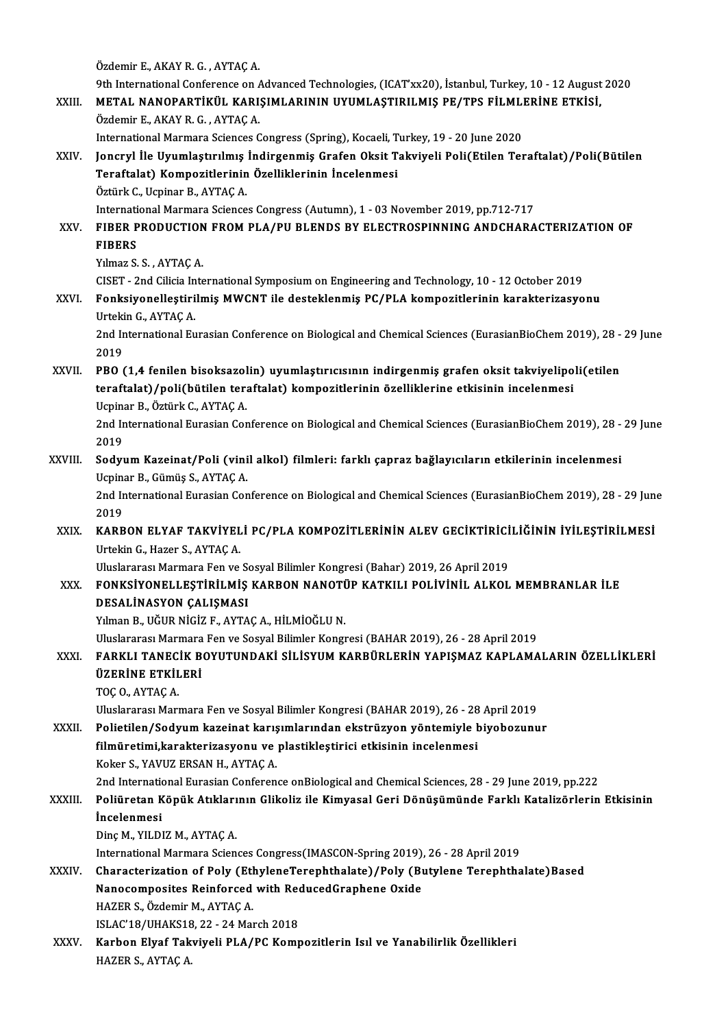Özdemir E.,AKAYR.G. ,AYTAÇA. 9th International Conference on Advanced Technologies, (ICAT'xx20), İstanbul, Turkey, 10 - 12 August 2020 Özdemir E., AKAY R. G. , AYTAÇ A.<br>9th International Conference on Advanced Technologies, (ICAT'xx20), İstanbul, Turkey, 10 - 12 August<br>XXIII. METAL NANOPARTİKÜL KARIŞIMLARININ UYUMLAŞTIRILMIŞ PE/TPS FİLMLERİNE ETKİSİ,<br>Örde 9th International Conference on A<br>**METAL NANOPARTIKÜL KARI**:<br>Özdemir E., AKAY R. G. , AYTAÇ A.<br>International Mermare Sciences C METAL NANOPARTİKÜL KARIŞIMLARININ UYUMLAŞTIRILMIŞ PE/TPS FİLMLI<br>Özdemir E., AKAY R. G. , AYTAÇ A.<br>International Marmara Sciences Congress (Spring), Kocaeli, Turkey, 19 - 20 June 2020<br>Jongryl İle Uyumlaştırılmış İndirsenmiş Özdemir E., AKAY R. G. , AYTAÇ A.<br>International Marmara Sciences Congress (Spring), Kocaeli, Turkey, 19 - 20 June 2020<br>XXIV. Joncryl İle Uyumlaştırılmış İndirgenmiş Grafen Oksit Takviyeli Poli(Etilen Teraftalat)/Poli(B International Marmara Sciences Congress (Spring), Kocaeli, T<br>Joncryl İle Uyumlaştırılmış İndirgenmiş Grafen Oksit T<br>Teraftalat) Kompozitlerinin Özelliklerinin İncelenmesi<br>Öztürk G. Haninar P. AYTAG A Teraftalat) Kompozitlerinin Özelliklerinin İncelenmesi<br>Öztürk C., Ucpinar B., AYTAÇ A. Teraftalat) Kompozitlerinin Özelliklerinin İncelenmesi<br>Öztürk C., Ucpinar B., AYTAÇ A.<br>International Marmara Sciences Congress (Autumn), 1 - 03 November 2019, pp.712-717<br>FIRER PRODUCTION EROM RLA (RU RLENDS RV ELECTROSPINN Öztürk C., Ucpinar B., AYTAÇ A.<br>International Marmara Sciences Congress (Autumn), 1 - 03 November 2019, pp.712-717<br>XXV. FIBER PRODUCTION FROM PLA/PU BLENDS BY ELECTROSPINNING ANDCHARACTERIZATION OF Internati<br>FIBER P<br>FIBERS<br><sup>Vilmog</sup> S FIBER PRODUCTION<br>FIBERS<br>Yılmaz S. S. , AYTAÇ A.<br>CISET - 2nd Gilicia Inte FIBERS<br>Yılmaz S. S. , AYTAÇ A.<br>CISET - 2nd Cilicia International Symposium on Engineering and Technology, 10 - 12 October 2019 Yılmaz S. S. , AYTAÇ A.<br>CISET - 2nd Cilicia International Symposium on Engineering and Technology, 10 - 12 October 2019<br>XXVI. Fonksiyonelleştirilmiş MWCNT ile desteklenmiş PC/PLA kompozitlerinin karakterizasyonu<br>Usteli CISET - 2nd Cilicia In<br>Fonksiyonelleştiri<br>Urtekin G., AYTAÇ A.<br>2nd International Eu Fonksiyonelleştirilmiş MWCNT ile desteklenmiş PC/PLA kompozitlerinin karakterizasyonu<br>Urtekin G., AYTAÇ A.<br>2nd International Eurasian Conference on Biological and Chemical Sciences (EurasianBioChem 2019), 28 - 29 June<br>2019 Urteki<br>2nd Ir<br>2019<br>PRO XXVI . PBO (1,4 fenilen bisoksazolin) uyumlaştırıcısının indirgenmiş grafen oksit takviyelipoli(etilen 2019<br>PBO (1,4 fenilen bisoksazolin) uyumlaştırıcısının indirgenmiş grafen oksit takviyelipo<br>teraftalat)/poli(bütilen teraftalat) kompozitlerinin özelliklerine etkisinin incelenmesi<br>Uminar B. Östürk C. AYTAC A PBO (1,4 fenilen bisoksazol<br>teraftalat)/poli(bütilen tera<br>Ucpinar B., Öztürk C., AYTAÇ A.<br>2nd International Eurasian Cor 2nd International Eurasian Conference on Biological and Chemical Sciences (EurasianBioChem 2019), 28 - 29 June<br>2019 Ucpinar B., Öztürk C., AYTAÇ A. 2nd International Eurasian Conference on Biological and Chemical Sciences (EurasianBioChem 2019), 28 -<br>2019<br>XXVIII. Sodyum Kazeinat/Poli (vinil alkol) filmleri: farklı çapraz bağlayıcıların etkilerinin incelenmesi<br>Ilminar 2019<br><mark>Sodyum Kazeinat/Poli (vini</mark><br>Ucpinar B., Gümüş S., AYTAÇ A.<br>2nd International Eurasian Cor Sodyum Kazeinat/Poli (vinil alkol) filmleri: farklı çapraz bağlayıcıların etkilerinin incelenmesi<br>Ucpinar B., Gümüş S., AYTAÇ A.<br>2nd International Eurasian Conference on Biological and Chemical Sciences (EurasianBioChem 20 Ucpinar B., Gümüş S., AYTAÇ A.<br>2nd International Eurasian Conference on Biological and Chemical Sciences (EurasianBioChem 2019), 28 - 29 June<br>2019 2nd International Eurasian Conference on Biological and Chemical Sciences (EurasianBioChem 2019), 28 - 29 Jun<br>2019<br>XXIX. KARBON ELYAF TAKVİYELİ PC/PLA KOMPOZİTLERİNİN ALEV GECİKTİRİCİLİĞİNİN İYİLEŞTİRİLMESİ 2019<br>KARBON ELYAF TAKVİYEL<br>Urtekin G., Hazer S., AYTAÇ A.<br>Uluslararaşı Marmara Fan ve Urtekin G., Hazer S., AYTAÇ A.<br>Uluslararası Marmara Fen ve Sosyal Bilimler Kongresi (Bahar) 2019, 26 April 2019 Urtekin G., Hazer S., AYTAÇ A.<br>Uluslararası Marmara Fen ve Sosyal Bilimler Kongresi (Bahar) 2019, 26 April 2019<br>XXX. FONKSİYONELLEŞTİRİLMİŞ KARBON NANOTÜP KATKILI POLİVİNİL ALKOL MEMBRANLAR İLE<br>DESALİNASYON GALISMASI Uluslararası Marmara Fen ve Se<br>FONKSİYONELLEŞTİRİLMİŞ<br>DESALİNASYON ÇALIŞMASI<br>Yılman Bu Kölip Niçiz E. AYTA FONKSİYONELLEŞTİRİLMİŞ KARBON NANOTİ<br>DESALİNASYON ÇALIŞMASI<br>Yılman B., UĞUR NİGİZ F., AYTAÇ A., HİLMİOĞLU N.<br>Hivelərərəc Mərmərə Fən və Soqual Bilimlər Kəngr DESALİNASYON ÇALIŞMASI<br>Yılman B., UĞUR NİGİZ F., AYTAÇ A., HİLMİOĞLU N.<br>Uluslararası Marmara Fen ve Sosyal Bilimler Kongresi (BAHAR 2019), 26 - 28 April 2019<br>FARKLI TANECİK BOYUTUNDAKİ SİLİSYUM KARRÜRLERİN YARISMAZ KARLAMA Xılman B., UĞUR NİGİZ F., AYTAÇ A., HİLMİOĞLU N.<br>Uluslararası Marmara Fen ve Sosyal Bilimler Kongresi (BAHAR 2019), 26 - 28 April 2019<br>XXXI. FARKLI TANECİK BOYUTUNDAKİ SİLİSYUM KARBÜRLERİN YAPIŞMAZ KAPLAMALARIN ÖZELLİK Uluslararası Marmara<br>FARKLI TANECİK B<br>ÜZERİNE ETKİLERİ<br>TOC O AYTAC A **ÜZERINE ETKILERI<br>TOC O., AYTAC A.** UluslararasıMarmara Fenve SosyalBilimlerKongresi (BAHAR2019),26 -28April2019 TOÇ O., AYTAÇ A.<br>Uluslararası Marmara Fen ve Sosyal Bilimler Kongresi (BAHAR 2019), 26 - 28 April 2019<br>XXXII. Polietilen/Sodyum kazeinat karışımlarından ekstrüzyon yöntemiyle biyobozunur<br>filmüretimi karakterizasyonu ve Uluslararası Marmara Fen ve Sosyal Bilimler Kongresi (BAHAR 2019), 26 - 28<br>Polietilen/Sodyum kazeinat karışımlarından ekstrüzyon yöntemiyle l<br>filmüretimi,karakterizasyonu ve plastikleştirici etkisinin incelenmesi<br>Kokar S. Polietilen/Sodyum kazeinat karış<br>filmüretimi,karakterizasyonu ve<br>Koker S., YAVUZ ERSAN H., AYTAÇ A.<br>2nd International Euresian Conferen filmüretimi,karakterizasyonu ve plastikleştirici etkisinin incelenmesi<br>Koker S., YAVUZ ERSAN H., AYTAÇ A.<br>2nd International Eurasian Conference onBiological and Chemical Sciences, 28 - 29 June 2019, pp.222<br>Boliüratan Könük Koker S., YAVUZ ERSAN H., AYTAÇ A.<br>2nd International Eurasian Conference onBiological and Chemical Sciences, 28 - 29 June 2019, pp.222<br>XXXIII. Poliüretan Köpük Atıklarının Glikoliz ile Kimyasal Geri Dönüşümünde Farklı 2nd Internation<br>Poli<mark>üretan K</mark><br>İncelenmesi<br>Dinc M. YU Di Poli<mark>üretan Köpük Atıkları</mark><br>İncelenmesi<br>Dinç M., YILDIZ M., AYTAÇ A.<br>International Marmara Scien **İncelenmesi**<br>Dinç M., YILDIZ M., AYTAÇ A.<br>International Marmara Sciences Congress(IMASCON-Spring 2019), 26 - 28 April 2019<br>Charactonization of Boly (EthyloneTerenhthelete) (Boly (Butylone Terenhthe Dinç M., YILDIZ M., AYTAÇ A.<br>International Marmara Sciences Congress(IMASCON-Spring 2019), 26 - 28 April 2019<br>XXXIV. Characterization of Poly (EthyleneTerephthalate)/Poly (Butylene Terephthalate)Based<br>Nanosomnosites Beinfo International Marmara Sciences Congress(IMASCON-Spring 2019)<br>Characterization of Poly (EthyleneTerephthalate)/Poly (B)<br>Nanocomposites Reinforced with ReducedGraphene Oxide<br>HAZER S. Ördemir M. AYTAC A Characterization of Poly (Eth<br>Nanocomposites Reinforced<br>HAZER S., Özdemir M., AYTAÇ A.<br>ISLAC'19/UHAVS19 22 - 24 Mer Nanocomposites Reinforced with ReducedGraphene Oxide<br>HAZER S., Özdemir M., AYTAÇ A.<br>ISLAC'18/UHAKS18, 22 - 24 March 2018 HAZER S., Özdemir M., AYTAÇ A.<br>ISLAC'18/UHAKS18, 22 - 24 March 2018<br>XXXV. Karbon Elyaf Takviyeli PLA/PC Kompozitlerin Isıl ve Yanabilirlik Özellikleri<br>HAZER S. AYTAC A. ISLAC'18/UHAKS18<br><mark>Karbon Elyaf Tak</mark><br>HAZER S., AYTAÇ A.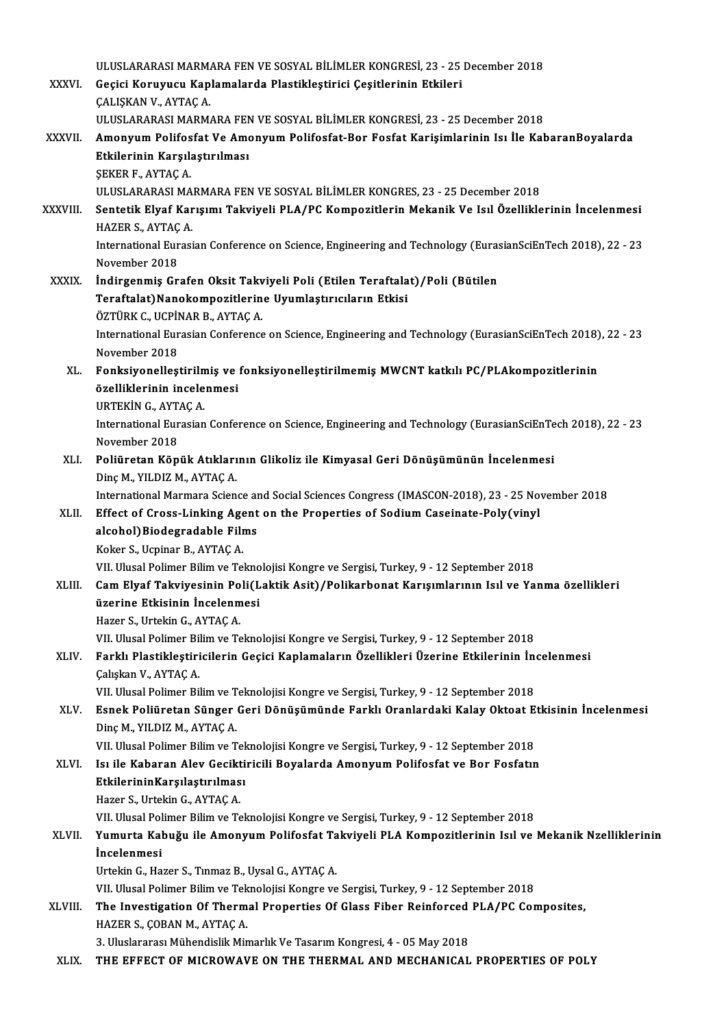|              | ULUSLARARASI MARMARA FEN VE SOSYAL BİLİMLER KONGRESİ, 23 - 25 December 2018                                                           |
|--------------|---------------------------------------------------------------------------------------------------------------------------------------|
| XXXVI.       | Geçici Koruyucu Kaplamalarda Plastikleştirici Çeşitlerinin Etkileri                                                                   |
|              | ÇALIŞKAN V., AYTAÇ A                                                                                                                  |
|              | ULUSLARARASI MARMARA FEN VE SOSYAL BİLİMLER KONGRESİ, 23 - 25 December 2018                                                           |
| XXXVII.      | Amonyum Polifosfat Ve Amonyum Polifosfat-Bor Fosfat Karişimlarinin Isı İle KabaranBoyalarda                                           |
|              | Etkilerinin Karşılaştırılması                                                                                                         |
|              | ŞEKER F., AYTAÇ A                                                                                                                     |
|              | ULUSLARARASI MARMARA FEN VE SOSYAL BİLİMLER KONGRES, 23 - 25 December 2018                                                            |
| XXXVIII.     | Sentetik Elyaf Karışımı Takviyeli PLA/PC Kompozitlerin Mekanik Ve Isıl Özelliklerinin İncelenmesi                                     |
|              | HAZER S, AYTAÇ A                                                                                                                      |
|              | International Eurasian Conference on Science, Engineering and Technology (EurasianSciEnTech 2018), 22 - 23                            |
|              | November 2018                                                                                                                         |
| <b>XXXIX</b> | İndirgenmiş Grafen Oksit Takviyeli Poli (Etilen Teraftalat)/Poli (Bütilen<br>Teraftalat) Nanokompozitlerine Uyumlaştırıcıların Etkisi |
|              | ÖZTÜRK C., UCPİNAR B., AYTAÇ A.                                                                                                       |
|              | International Eurasian Conference on Science, Engineering and Technology (EurasianSciEnTech 2018), 22 - 23                            |
|              | November 2018                                                                                                                         |
| XL.          | Fonksiyonelleştirilmiş ve fonksiyonelleştirilmemiş MWCNT katkılı PC/PLAkompozitlerinin                                                |
|              | özelliklerinin incelenmesi                                                                                                            |
|              | URTEKIN G., AYTAÇ A.                                                                                                                  |
|              | International Eurasian Conference on Science, Engineering and Technology (EurasianSciEnTech 2018), 22 - 23                            |
|              | November 2018                                                                                                                         |
| XLI.         | Poliüretan Köpük Atıklarının Glikoliz ile Kimyasal Geri Dönüşümünün İncelenmesi                                                       |
|              | Dinç M., YILDIZ M., AYTAÇ A.                                                                                                          |
|              | International Marmara Science and Social Sciences Congress (IMASCON-2018), 23 - 25 November 2018                                      |
| XLII.        | Effect of Cross-Linking Agent on the Properties of Sodium Caseinate-Poly(vinyl                                                        |
|              | alcohol) Biodegradable Films                                                                                                          |
|              | Koker S., Ucpinar B., AYTAÇ A.                                                                                                        |
|              | VII. Ulusal Polimer Bilim ve Teknolojisi Kongre ve Sergisi, Turkey, 9 - 12 September 2018                                             |
| XLIII.       | Cam Elyaf Takviyesinin Poli(Laktik Asit)/Polikarbonat Karışımlarının Isıl ve Yanma özellikleri                                        |
|              | üzerine Etkisinin İncelenmesi                                                                                                         |
|              | Hazer S., Urtekin G., AYTAÇ A.                                                                                                        |
|              | VII. Ulusal Polimer Bilim ve Teknolojisi Kongre ve Sergisi, Turkey, 9 - 12 September 2018                                             |
| XLIV.        | Farklı Plastikleştiricilerin Geçici Kaplamaların Özellikleri Üzerine Etkilerinin İncelenmesi                                          |
|              | Çalışkan V., AYTAÇ A.                                                                                                                 |
|              | VII. Ulusal Polimer Bilim ve Teknolojisi Kongre ve Sergisi, Turkey, 9 - 12 September 2018                                             |
| XLV.         | Esnek Poliüretan Sünger Geri Dönüşümünde Farklı Oranlardaki Kalay Oktoat Etkisinin İncelenmesi<br>Dinç M., YILDIZ M., AYTAÇ A.        |
|              | VII. Ulusal Polimer Bilim ve Teknolojisi Kongre ve Sergisi, Turkey, 9 - 12 September 2018                                             |
| XLVI.        | Isi ile Kabaran Alev Geciktiricili Boyalarda Amonyum Polifosfat ve Bor Fosfatın                                                       |
|              | Etkilerinin Karşılaştırılması                                                                                                         |
|              | Hazer S., Urtekin G., AYTAÇ A.                                                                                                        |
|              | VII. Ulusal Polimer Bilim ve Teknolojisi Kongre ve Sergisi, Turkey, 9 - 12 September 2018                                             |
| XLVII.       | Yumurta Kabuğu ile Amonyum Polifosfat Takviyeli PLA Kompozitlerinin Isıl ve Mekanik Nzelliklerinin                                    |
|              | <i>incelenmesi</i>                                                                                                                    |
|              | Urtekin G., Hazer S., Tinmaz B., Uysal G., AYTAÇ A.                                                                                   |
|              | VII. Ulusal Polimer Bilim ve Teknolojisi Kongre ve Sergisi, Turkey, 9 - 12 September 2018                                             |
| XLVIII.      | The Investigation Of Thermal Properties Of Glass Fiber Reinforced PLA/PC Composites,                                                  |
|              | HAZER S., ÇOBAN M., AYTAÇ A.                                                                                                          |
|              | 3. Uluslararası Mühendislik Mimarlık Ve Tasarım Kongresi, 4 - 05 May 2018                                                             |
| XLIX.        | THE EFFECT OF MICROWAVE ON THE THERMAL AND MECHANICAL PROPERTIES OF POLY                                                              |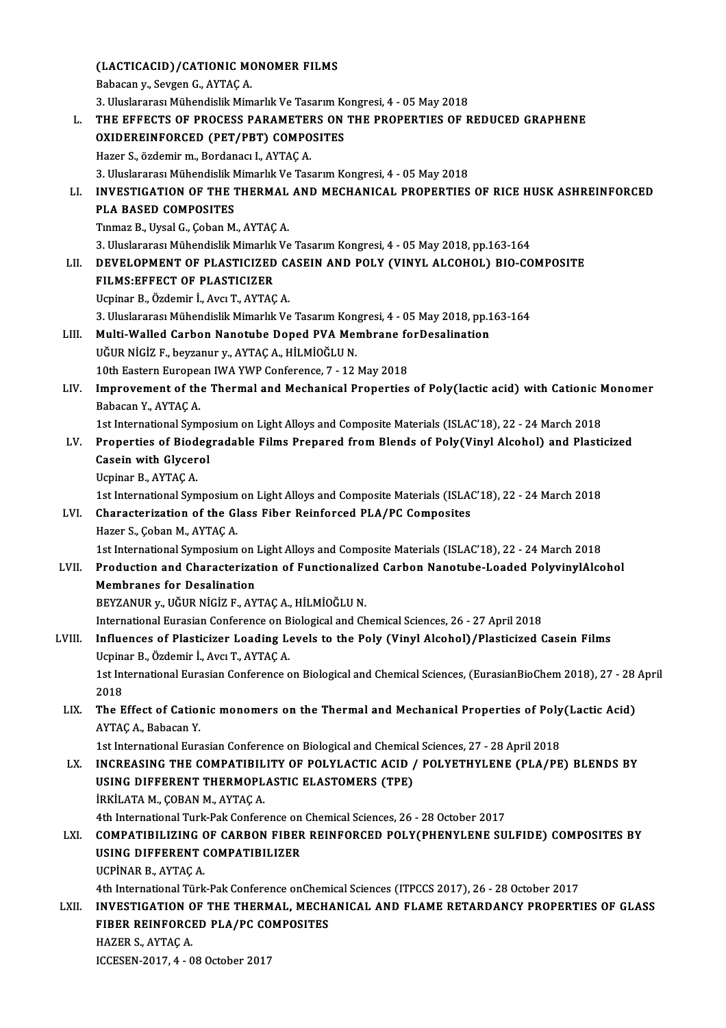(LACTICACID)/CATIONIC MONOMER FILMS (LACTICACID)/CATIONIC MONDER<br>Babacan y., Sevgen G., AYTAÇ A. Babacan y., Sevgen G., AYTAÇ A.<br>3. Uluslararası Mühendislik Mimarlık Ve Tasarım Kongresi, 4 - 05 May 2018 L. THE EFFECTS OF PROCESS PARAMETERS ON THE PROPERTIES OF REDUCED GRAPHENE 3. Uluslararası Mühendislik Mimarlık Ve Tasarım K<br>THE EFFECTS OF PROCESS PARAMETERS ON<br>OXIDEREINFORCED (PET/PBT) COMPOSITES<br>Hazer S. äzdemir m. Berdanası L. AYTAC A THE EFFECTS OF PROCESS PARAMETE<br>OXIDEREINFORCED (PET/PBT) COMPO<br>Hazer S., özdemir m., Bordanacı I., AYTAÇ A.<br>2. Uluslararası Mühandislik Mimarlık Ve Tas OXIDEREINFORCED (PET/PBT) COMPOSITES<br>Hazer S., özdemir m., Bordanacı I., AYTAÇ A.<br>3. Uluslararası Mühendislik Mimarlık Ve Tasarım Kongresi, 4 - 05 May 2018<br>INVESTIC ATION OF THE THERMAL AND MECHANICAL RROBERTIES Hazer S., özdemir m., Bordanacı I., AYTAÇ A.<br>3. Uluslararası Mühendislik Mimarlık Ve Tasarım Kongresi, 4 - 05 May 2018<br>LI. INVESTIGATION OF THE THERMAL AND MECHANICAL PROPERTIES OF RICE HUSK ASHREINFORCED<br>PLA BASED COMPOSI 3. Uluslararası Mühendislik M<br>**INVESTIGATION OF THE 1**<br>PLA BASED COMPOSITES<br>Tinmaz B. Hivel C. Coban M TınmazB.,UysalG.,ÇobanM.,AYTAÇA. PLA BASED COMPOSITES<br>Tinmaz B., Uysal G., Çoban M., AYTAÇ A.<br>3. Uluslararası Mühendislik Mimarlık Ve Tasarım Kongresi, 4 - 05 May 2018, pp.163-164<br>DEVELOPMENT OF BLASTICIZED CASEIN AND POLY (VINYL ALCOHOL) BIO CO LII. DEVELOPMENT OF PLASTICIZED CASEIN AND POLY (VINYL ALCOHOL) BIO-COMPOSITE<br>FILMS:EFFECT OF PLASTICIZER 3. Uluslararası Mühendislik Mimarlık<br>DEVELOPMENT OF PLASTICIZED<br>FILMS:EFFECT OF PLASTICIZER<br>Haninar B. Özdemin İ. Ava T. AYTAC UcpinarB.,Özdemir İ.,AvcıT.,AYTAÇA. FILMS:EFFECT OF PLASTICIZER<br>Ucpinar B., Özdemir İ., Avcı T., AYTAÇ A.<br>3. Uluslararası Mühendislik Mimarlık Ve Tasarım Kongresi, 4 - 05 May 2018, pp.163-164<br>Multi Welled Carban Nanatube Danad BVA Membrana farDesalination Ucpinar B., Özdemir İ., Avcı T., AYTAÇ A.<br>3. Uluslararası Mühendislik Mimarlık Ve Tasarım Kongresi, 4 - 05 May 2018, pp.1<br>LIII. Multi-Walled Carbon Nanotube Doped PVA Membrane forDesalination 3. Uluslararası Mühendislik Mimarlık Ve Tasarım Kon<br>Multi-Walled Carbon Nanotube Doped PVA Meı<br>UĞUR NİGİZ F., beyzanur y., AYTAÇ A., HİLMİOĞLU N.<br>10th Fastern Europeen IWA YWP Cenference 7, 12. Multi-Walled Carbon Nanotube Doped PVA Membrane forDesalination<br>UĞUR NİGİZ F., beyzanur y., AYTAÇ A., HİLMİOĞLU N.<br>10th Eastern European IWA YWP Conference, 7 - 12 May 2018 UĞUR NİGİZ F., beyzanur y., AYTAÇ A., HİLMİOĞLU N.<br>10th Eastern European IWA YWP Conference, 7 - 12 May 2018<br>LIV. Improvement of the Thermal and Mechanical Properties of Poly(lactic acid) with Cationic Monomer<br>Rabasan 10th Eastern Europea<br>Improvement of the<br>Babacan Y., AYTAÇ A. Improvement of the Thermal and Mechanical Properties of Poly(lactic acid) with Cationic N<br>Babacan Y., AYTAÇ A.<br>1st International Symposium on Light Alloys and Composite Materials (ISLAC'18), 22 - 24 March 2018<br>Properties o Babacan Y., AYTAÇ A.<br>1st International Symposium on Light Alloys and Composite Materials (ISLAC'18), 22 - 24 March 2018<br>1. EV. Properties of Biodegradable Films Prepared from Blends of Poly(Vinyl Alcohol) and Plasticized 1st International Sympe<br>Properties of Biodeg<br>Casein with Glycerol<br>Heninar B. AYTACA Properties of Biod<br>Casein with Glycer<br>Ucpinar B., AYTAÇ A.<br>1st International Sum Ucpinar B., AYTAÇ A.<br>1st International Symposium on Light Alloys and Composite Materials (ISLAC'18), 22 - 24 March 2018 Ucpinar B., AYTAÇ A.<br>1st International Symposium on Light Alloys and Composite Materials (ISLA)<br>LVI. Characterization of the Glass Fiber Reinforced PLA/PC Composites<br>Hager S. Coban M. AYTAC A. 1st International Symposium<br>Characterization of the Gl<br>Hazer S., Çoban M., AYTAÇ A.<br>1st International Symposium Hazer S., Çoban M., AYTAÇ A.<br>1st International Symposium on Light Alloys and Composite Materials (ISLAC'18), 22 - 24 March 2018 Hazer S., Çoban M., AYTAÇ A.<br>1st International Symposium on Light Alloys and Composite Materials (ISLAC'18), 22 - 24 March 2018<br>1916 . LVII. Production and Characterization of Functionalized Carbon Nanotube-Loaded Polyviny 1st International Symposium on 1<br>Production and Characterizat<br>Membranes for Desalination<br>PEVZANUP v. UČUP NICIZ E. AV Production and Characterization of Functionalize<br>Membranes for Desalination<br>BEYZANUR y., UĞUR NİGİZ F., AYTAÇ A., HİLMİOĞLU N.<br>International Eurasian Conference en Biologiasland Ch Membranes for Desalination<br>BEYZANUR y., UĞUR NİGİZ F., AYTAÇ A., HİLMİOĞLU N.<br>International Eurasian Conference on Biological and Chemical Sciences, 26 - 27 April 2018<br>Influences of Plastisiper Looding Levels to the Boly ( BEYZANUR y., UĞUR NİGİZ F., AYTAÇ A., HİLMİOĞLU N.<br>International Eurasian Conference on Biological and Chemical Sciences, 26 - 27 April 2018<br>LVIII. Influences of Plasticizer Loading Levels to the Poly (Vinyl Alcohol)/Plast International Eurasian Conference on B<br>Influences of Plasticizer Loading Le<br>Ucpinar B., Özdemir İ., Avcı T., AYTAÇ A.<br>1st International Eurasian Conference e Influences of Plasticizer Loading Levels to the Poly (Vinyl Alcohol)/Plasticized Casein Films<br>Ucpinar B., Özdemir İ., Avcı T., AYTAÇ A.<br>1st International Eurasian Conference on Biological and Chemical Sciences, (EurasianBi Ucpina<br>1st Int<br>2018<br>The F 1st International Eurasian Conference on Biological and Chemical Sciences, (EurasianBioChem 2018), 27 - 28<br>2018<br>LIX. The Effect of Cationic monomers on the Thermal and Mechanical Properties of Poly(Lactic Acid)<br>AVTAC A. Pa 2018<br>The Effect of Cation<br>AYTAÇ A., Babacan Y.<br>1st International Eure The Effect of Cationic monomers on the Thermal and Mechanical Properties of Poly<br>AYTAÇ A., Babacan Y.<br>1st International Eurasian Conference on Biological and Chemical Sciences, 27 - 28 April 2018<br>INCREASING THE COMPATIBULI AYTAÇ A., Babacan Y.<br>1st International Eurasian Conference on Biological and Chemical Sciences, 27 - 28 April 2018<br>1.X. INCREASING THE COMPATIBILITY OF POLYLACTIC ACID / POLYETHYLENE (PLA/PE) BLENDS BY 1st International Eurasian Conference on Biological and Chemica<br>INCREASING THE COMPATIBILITY OF POLYLACTIC ACID /<br>USING DIFFERENT THERMOPLASTIC ELASTOMERS (TPE)<br>IPKU ATA M. CORAN M. AXTAC A INCREASING THE COMPATIBIL<br>USING DIFFERENT THERMOPL<br>İRKİLATA M., ÇOBAN M., AYTAÇ A.<br>4th International Turk Bak Conform USING DIFFERENT THERMOPLASTIC ELASTOMERS (TPE)<br>İRKİLATA M., ÇOBAN M., AYTAÇ A.<br>4th International Turk-Pak Conference on Chemical Sciences, 26 - 28 October 2017<br>COMPATIBILIZINC OF CARRON EIRER REINEORCED POLYCRUENYLENE SIL IRKILATA M., ÇOBAN M., AYTAÇ A.<br>4th International Turk-Pak Conference on Chemical Sciences, 26 - 28 October 2017<br>LXI. COMPATIBILIZING OF CARBON FIBER REINFORCED POLY(PHENYLENE SULFIDE) COMPOSITES BY<br>LISING DIEEERENT CO 4th International Turk-Pak Conference on<br>COMPATIBILIZING OF CARBON FIBER<br>USING DIFFERENT COMPATIBILIZER<br>UCP<sup>INAR R</sup>A<sup>VTAC</sup>A COMPATIBILIZING<br>USING DIFFERENT<br>UCPİNAR B., AYTAÇ A.<br>4th International Türk USING DIFFERENT COMPATIBILIZER<br>UCPINAR B., AYTAÇ A.<br>4th International Türk-Pak Conference onChemical Sciences (ITPCCS 2017), 26 - 28 October 2017<br>INVESTIC ATION OF THE THERMAL, MECHANICAL AND ELAME RETARDANCY RROBERTI UCPINAR B., AYTAÇ A.<br>4th International Türk-Pak Conference onChemical Sciences (ITPCCS 2017), 26 - 28 October 2017<br>1.XII. INVESTIGATION OF THE THERMAL, MECHANICAL AND FLAME RETARDANCY PROPERTIES OF GLASS 4th International Türk-Pak Conference onChem<br>INVESTIGATION OF THE THERMAL, MECH*I*<br>FIBER REINFORCED PLA/PC COMPOSITES<br>HAZER S. A<sup>XTAC</sup>A **INVESTIGATION<br>FIBER REINFORCI<br>HAZER S., AYTAÇ A.<br>ICCESEN 2017 4 - 0** FIBER REINFORCED PLA/PC COMPOSITES<br>HAZER S., AYTAÇ A.<br>ICCESEN-2017, 4 - 08 October 2017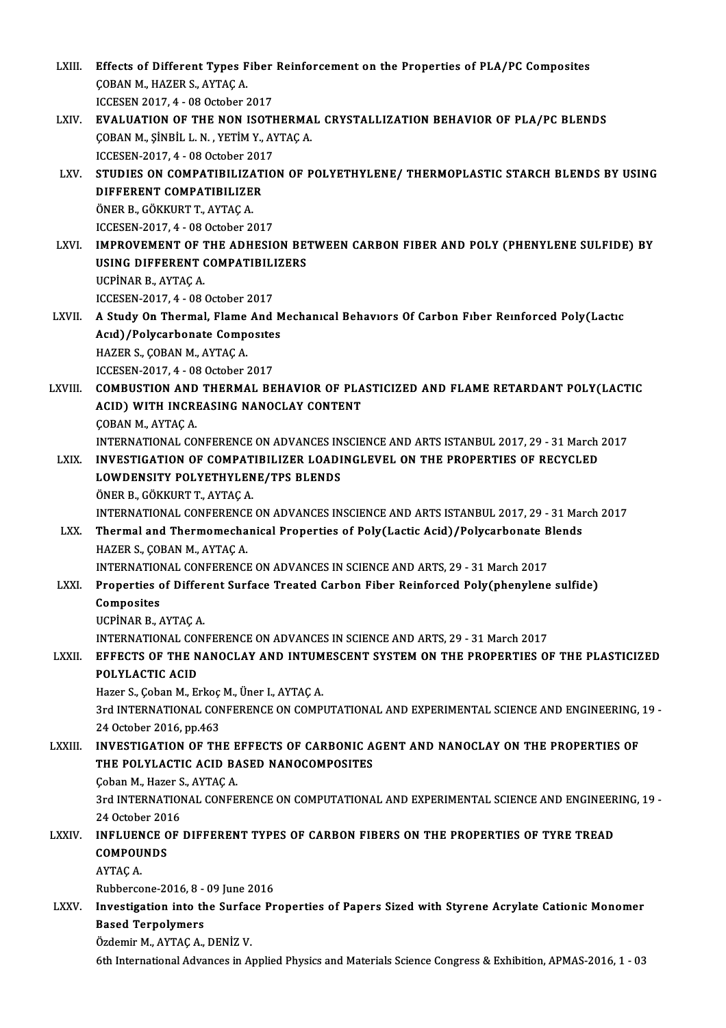LXIII. Effects of Different Types Fiber Reinforcement on the Properties of PLA/PC Composites<br>CORAN M, HAZER S, AYTAC A Effects of Different Types F<br>ÇOBAN M., HAZER S., AYTAÇ A.<br>ICCESEN 2017 4 - 08 Ostabor î Effects of Different Types Fiber<br>COBAN M., HAZER S., AYTAC A.<br>ICCESEN 2017, 4 - 08 October 2017<br>EVALUATION OF THE NON ISOTI COBAN M., HAZER S., AYTAÇ A.<br>ICCESEN 2017, 4 - 08 October 2017<br>LXIV. EVALUATION OF THE NON ISOTHERMAL CRYSTALLIZATION BEHAVIOR OF PLA/PC BLENDS ICCESEN 2017, 4 - 08 October 2017<br>**EVALUATION OF THE NON ISOTHERMA**<br>ÇOBAN M., ŞİNBİL L.N. , YETİM Y., AYTAÇ A.<br>ICCESEN 2017, 4 - 08 Ostober 2017 EVALUATION OF THE NON ISOTH<br>ÇOBAN M., ŞİNBİL L. N. , YETİM Y., AY<br>ICCESEN-2017, 4 - 08 October 2017<br>STUDIES ON COMBATIBILIZATIO

COBAN M., ȘINBIL L. N. , YETIM Y., AYTAÇ A.<br>ICCESEN-2017, 4 - 08 October 2017<br>LXV. STUDIES ON COMPATIBILIZATION OF POLYETHYLENE/ THERMOPLASTIC STARCH BLENDS BY USING<br>DIEEERENT COMPATIBILIZER **ICCESEN-2017, 4 - 08 October 201<br>STUDIES ON COMPATIBILIZAT<br>DIFFERENT COMPATIBILIZER<br>ÖNER R. GÖKKUPT T. AVTACA** STUDIES ON COMPATIBILIZA<br>DIFFERENT COMPATIBILIZE<br>ÖNER B., GÖKKURT T., AYTAÇ A.<br>ICCESEN 2017 4 - 09 Ostabar 2. DIFFERENT COMPATIBILIZER<br>ÖNER B., GÖKKURT T., AYTAÇ A.<br>ICCESEN-2017, 4 - 08 October 2017

ÖNER B., GÖKKURT T., AYTAÇ A.<br>ICCESEN-2017, 4 - 08 October 2017<br>LXVI. IMPROVEMENT OF THE ADHESION BETWEEN CARBON FIBER AND POLY (PHENYLENE SULFIDE) BY ICCESEN-2017, 4 - 08 October 2017<br>IMPROVEMENT OF THE ADHESION BET<br>USING DIFFERENT COMPATIBILIZERS<br>UCBINAR BLAYTAC A **IMPROVEMENT OF 1<br>USING DIFFERENT (<br>UCPİNAR B., AYTAÇ A.<br>ICCESEN 2017 4 - 08 (** USING DIFFERENT COMPATIBILIZERS<br>UCPINAR B., AYTAÇ A.<br>ICCESEN-2017, 4 - 08 October 2017 UCPİNAR B., AYTAÇ A.<br>ICCESEN-2017, 4 - 08 October 2017<br>LXVII. A Study On Thermal, Flame And Mechanical Behaviors Of Carbon Fiber Reinforced Poly(Lactic

ICCESEN-2017, 4 - 08 October 2017<br>A Study On Thermal, Flame And M<br>Acıd)/Polycarbonate Composites<br>HAZER S. CORAN M. AYTAC A A Study On Thermal, Flame<br>Acıd)/Polycarbonate Comp<br>HAZER S., ÇOBAN M., AYTAÇ A.<br>ICCESEN 2017 4...09 Ostabar i Acid)/Polycarbonate Composites<br>HAZER S., ÇOBAN M., AYTAÇ A.<br>ICCESEN-2017. 4 - 08 October 2017

HAZER S., ÇOBAN M., AYTAÇ A.<br>ICCESEN-2017, 4 - 08 October 2017<br>LXVIII. COMBUSTION AND THERMAL BEHAVIOR OF PLASTICIZED AND FLAME RETARDANT POLY(LACTIC ICCESEN-2017, 4 - 08 October 2017<br>COMBUSTION AND THERMAL BEHAVIOR OF PLA<br>ACID) WITH INCREASING NANOCLAY CONTENT<br>COBAN M. AYTAC A **COMBUSTION AND<br>ACID) WITH INCRI<br>ÇOBAN M., AYTAÇ A.<br>INTERNATIONAL CO.** ACID) WITH INCREASING NANOCLAY CONTENT<br>COBAN M., AYTAÇ A.<br>INTERNATIONAL CONFERENCE ON ADVANCES INSCIENCE AND ARTS ISTANBUL 2017, 29 - 31 March 2017

## COBAN M., AYTAÇ A.<br>INTERNATIONAL CONFERENCE ON ADVANCES INSCIENCE AND ARTS ISTANBUL 2017, 29 - 31 March<br>LXIX. INVESTIGATION OF COMPATIBILIZER LOADINGLEVEL ON THE PROPERTIES OF RECYCLED INTERNATIONAL CONFERENCE ON ADVANCES IN<br>INVESTIGATION OF COMPATIBILIZER LOADI<br>LOWDENSITY POLYETHYLENE/TPS BLENDS<br>ÖNEP P. CÖKKUPT T. AYTAC A INVESTIGATION OF COMPAT<br>LOWDENSITY POLYETHYLEN<br>ÖNER B., GÖKKURT T., AYTAÇ A.<br>INTERNATIONAL CONEERENCE LOWDENSITY POLYETHYLENE/TPS BLENDS<br>ÖNER B., GÖKKURT T., AYTAÇ A.<br>INTERNATIONAL CONFERENCE ON ADVANCES INSCIENCE AND ARTS ISTANBUL 2017, 29 - 31 March 2017<br>Thermal and Thermomechanical Bronortias of Boly(Lastis Asid) (Bolyc ÖNER B., GÖKKURT T., AYTAÇ A.<br>INTERNATIONAL CONFERENCE ON ADVANCES INSCIENCE AND ARTS ISTANBUL 2017, 29 - 31 Mai<br>LXX. Thermal and Thermomechanical Properties of Poly(Lactic Acid)/Polycarbonate Blends<br>HAZER S. CORAN M.

## INTERNATIONAL CONFERENCI<br>Thermal and Thermomecha<br>HAZER S., ÇOBAN M., AYTAÇ A.<br>INTERNATIONAL CONFERENCI Thermal and Thermomechanical Properties of Poly(Lactic Acid)/Polycarbonate B<br>HAZER S., ÇOBAN M., AYTAÇ A.<br>INTERNATIONAL CONFERENCE ON ADVANCES IN SCIENCE AND ARTS, 29 - 31 March 2017<br>Properties of Different Surface Treated HAZER S., ÇOBAN M., AYTAÇ A.<br>INTERNATIONAL CONFERENCE ON ADVANCES IN SCIENCE AND ARTS, 29 - 31 March 2017<br>LXXI. Properties of Different Surface Treated Carbon Fiber Reinforced Poly(phenylene sulfide)<br>Composites

INTERNATION<br>Properties<br>Composites<br>UCP<sup>INAR R</sup> Properties of Different Surface Treated Carbon Fiber Reinforced Poly(phenylene sulfide)<br>Composites<br>UCPİNAR B., AYTAC A.

INTERNATIONAL CONFERENCE ON ADVANCES IN SCIENCE AND ARTS, 29 - 31 March 2017

## LXXI . EFFECTS OF THE NANOCLAY AND INTUMESCENT SYSTEMON THE PROPERTIES OF THE PLASTICIZED INTERNATIONAL COM<br>EFFECTS OF THE N<br>POLYLACTIC ACID EFFECTS OF THE NANOCLAY AND INTUM<br>POLYLACTIC ACID<br>Hazer S., Çoban M., Erkoç M., Üner I., AYTAÇ A.<br>2rd INTERNATIONAL CONEERENCE ON COMP.

POLYLACTIC ACID<br>Hazer S., Çoban M., Erkoç M., Üner I., AYTAÇ A.<br>3rd INTERNATIONAL CONFERENCE ON COMPUTATIONAL AND EXPERIMENTAL SCIENCE AND ENGINEERING, 19 -<br>24 Osteber 2016, pp.463 Hazer S., Çoban M., Erkoç<br>3rd INTERNATIONAL CON<br>24 October 2016, pp.463<br>INVESTIC ATION OF TH 3rd INTERNATIONAL CONFERENCE ON COMPUTATIONAL AND EXPERIMENTAL SCIENCE AND ENGINEERING,<br>24 October 2016, pp.463<br>LXXIII. INVESTIGATION OF THE EFFECTS OF CARBONIC AGENT AND NANOCLAY ON THE PROPERTIES OF

24 October 2016, pp.463<br>LXXIII. INVESTIGATION OF THE EFFECTS OF CARBONIC AGENT AND NANOCLAY ON THE PROPERTIES OF<br>THE POLYLACTIC ACID BASED NANOCOMPOSITES **INVESTIGATION OF THE E<br>THE POLYLACTIC ACID BA<br>Coban M., Hazer S., AYTAÇ A.<br>2rd INTERNATIONAL CONEE** 

3rd INTERNATIONAL CONFERENCE ON COMPUTATIONAL AND EXPERIMENTAL SCIENCE AND ENGINEERING, 19 -<br>24 October 2016 Coban M., Hazer S<br>3rd INTERNATIOI<br>24 October 2016<br>INELUENCE OF 3rd INTERNATIONAL CONFERENCE ON COMPUTATIONAL AND EXPERIMENTAL SCIENCE AND ENGINEER<br>24 October 2016<br>COMPOUNDS

## 24 October 201<br>**INFLUENCE C<br>COMPOUNDS INFLUEN<br>COMPOU<br>AYTAÇ A.**<br>Pubberse COMPOUNDS<br>AYTAÇ A.<br>Rubbercone-2016, 8 - 09 June 2016<br>Investigation into the Surface Br

AYTAÇ A.<br>Rubbercone-2016, 8 - 09 June 2016<br>LXXV. Investigation into the Surface Properties of Papers Sized with Styrene Acrylate Cationic Monomer<br>Resed Ternelymers Rubbercone-2016, 8 -<br>Investigation into the<br>Based Terpolymers<br>Ördemin M. AYTAC A Investigation into the Surface<br>Based Terpolymers<br>Özdemir M., AYTAÇ A., DENİZ V.<br>Eth International Advances in A. Based Terpolymers<br>Özdemir M., AYTAÇ A., DENİZ V.<br>6th International Advances in Applied Physics and Materials Science Congress & Exhibition, APMAS-2016, 1 - 03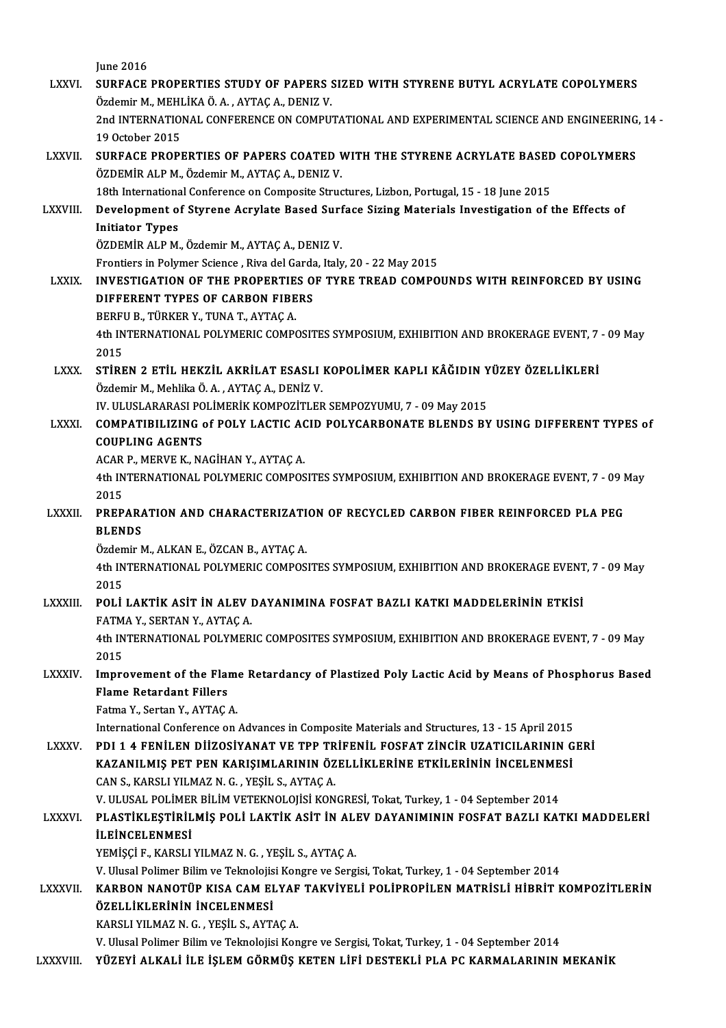June 2016

June 2016<br>LXXVI. SURFACE PROPERTIES STUDY OF PAPERS SIZED WITH STYRENE BUTYL ACRYLATE COPOLYMERS June 2016<br>SURFACE PROPERTIES STUDY OF PAPERS :<br>Özdemir M., MEHLİKA Ö.A. , AYTAÇ A., DENIZ V.<br>2nd INTERNATIONAL CONEERENCE ON COMPU SURFACE PROPERTIES STUDY OF PAPERS SIZED WITH STYRENE BUTYL ACRYLATE COPOLYMERS<br>Özdemir M., MEHLİKA Ö. A. , AYTAÇ A., DENIZ V.<br>2nd INTERNATIONAL CONFERENCE ON COMPUTATIONAL AND EXPERIMENTAL SCIENCE AND ENGINEERING, 14 -<br>19 Özdemir M., MEHI<br>2nd INTERNATIOJ<br>19 October 2015<br>SUREACE PROPI 2nd INTERNATIONAL CONFERENCE ON COMPUTATIONAL AND EXPERIMENTAL SCIENCE AND ENGINEERING<br>19 October 2015<br>LXXVII. SURFACE PROPERTIES OF PAPERS COATED WITH THE STYRENE ACRYLATE BASED COPOLYMERS 19 October 2015<br>SURFACE PROPERTIES OF PAPERS COATED WITH THE STYRENE ACRYLATE BASEI<br>ÖZDEMİR ALP M., Özdemir M., AYTAÇ A., DENIZ V.<br>18th International Conference on Composite Structures, Lizbon, Portugal, 15 - 18 June 2015 SURFACE PROPERTIES OF PAPERS COATED WITH THE STYRENE ACRYLATE BASED<br>ÖZDEMİR ALP M., Özdemir M., AYTAÇ A., DENIZ V.<br>18th International Conference on Composite Structures, Lizbon, Portugal, 15 - 18 June 2015<br>Davelopment of S ÖZDEMİR ALP M., Özdemir M., AYTAÇ A., DENIZ V.<br>18th International Conference on Composite Structures, Lizbon, Portugal, 15 - 18 June 2015<br>LXXVIII. Development of Styrene Acrylate Based Surface Sizing Materials Investig 18th Internations<br>Development o<br>Initiator Types<br>ÖZDEMİR ALRM Development of Styrene Acrylate Based Surf<br>Initiator Types<br>ÖZDEMİR ALP M., Özdemir M., AYTAÇ A., DENIZ V.<br>Erentiers in Belymer Ssiense, Biya del Carde, Italy Initiator Types<br>ÖZDEMİR ALP M., Özdemir M., AYTAÇ A., DENIZ V.<br>Frontiers in Polymer Science , Riva del Garda, Italy, 20 - 22 May 2015 ÖZDEMİR ALP M., Özdemir M., AYTAÇ A., DENIZ V.<br>Frontiers in Polymer Science , Riva del Garda, Italy, 20 - 22 May 2015<br>LXXIX. INVESTIGATION OF THE PROPERTIES OF TYRE TREAD COMPOUNDS WITH REINFORCED BY USING Frontiers in Polymer Science , Riva del Garda<br>INVESTIGATION OF THE PROPERTIES O<br>DIFFERENT TYPES OF CARBON FIBERS<br>REPELLE TURKER V TINA T AYTACA DIFFERENT TYPES OF CARBON FIBERS<br>BERFU B., TÜRKER Y., TUNA T., AYTAC A. DIFFERENT TYPES OF CARBON FIBERS<br>BERFU B., TÜRKER Y., TUNA T., AYTAÇ A.<br>4th INTERNATIONAL POLYMERIC COMPOSITES SYMPOSIUM, EXHIBITION AND BROKERAGE EVENT, 7 - 09 May<br>2015 **BERFI<br>4th IN<br>2015**<br>stipp 4th INTERNATIONAL POLYMERIC COMPOSITES SYMPOSIUM, EXHIBITION AND BROKERAGE EVENT, 7<br>2015<br>Özdemir M. Mobilica Ö.A., AVTAC A. DENIZ V. 2015<br>STİREN 2 ETİL HEKZİL AKRİLAT ESASLI KOPOLİMER KAPLI KÂĞIDIN YÜZEY ÖZELLİKLERİ<br>Özdemir M., Mehlika Ö. A. , AYTAÇ A., DENİZ V. STİREN 2 ETİL HEKZİL AKRİLAT ESASLI KOPOLİMER KAPLI KÂĞIDIN Y<br>Özdemir M., Mehlika Ö. A. , AYTAÇ A., DENİZ V.<br>IV. ULUSLARARASI POLİMERİK KOMPOZİTLER SEMPOZYUMU, 7 - 09 May 2015<br>COMPATIBU IZINC QÉ POLY LACTIC ACID POLYCARBON LXXXI. COMPATIBILIZING of POLY LACTIC ACID POLYCARBONATE BLENDS BY USING DIFFERENT TYPES of IV. ULUSLARARASI PO<br>COMPATIBILIZING<br>COUPLING AGENTS COMPATIBILIZING of POLY LACTIC AC<br>COUPLING AGENTS<br>ACAR P., MERVE K., NAGİHAN Y., AYTAÇ A.<br>4th INTERNATIONAL POLYMERIC COMPOS COUPLING AGENTS<br>ACAR P., MERVE K., NAGİHAN Y., AYTAÇ A.<br>4th INTERNATIONAL POLYMERIC COMPOSITES SYMPOSIUM, EXHIBITION AND BROKERAGE EVENT, 7 - 09 May<br>2015 ACAR<br>4th IN<br>2015<br>PPEP 4th INTERNATIONAL POLYMERIC COMPOSITES SYMPOSIUM, EXHIBITION AND BROKERAGE EVENT, 7 - 09 N<br>2015<br>LXXXII. PREPARATION AND CHARACTERIZATION OF RECYCLED CARBON FIBER REINFORCED PLA PEG 2015<br>PREPARA<br>BLENDS<br>Ördemir N PREPARATION AND CHARACTERIZATI<br>BLENDS<br>Özdemir M., ALKAN E., ÖZCAN B., AYTAÇ A.<br>4th INTERNATIONAL POLYMERIC COMPOS BLENDS<br>Özdemir M., ALKAN E., ÖZCAN B., AYTAÇ A.<br>4th INTERNATIONAL POLYMERIC COMPOSITES SYMPOSIUM, EXHIBITION AND BROKERAGE EVENT, 7 - 09 May<br>2015 Özden<br>4th IN<br>2015<br>POLİ 4th INTERNATIONAL POLYMERIC COMPOSITES SYMPOSIUM, EXHIBITION AND BROKERAGE EVENT<br>2015<br>EATMA V. SERTAN V. AYTAC A 2015<br>POLI LAKTIK ASIT IN ALEV DAYANIMINA FOSFAT BAZLI KATKI MADDELERININ ETKISI<br>FATMA Y., SERTAN Y., AYTAC A. POLI LAKTIK ASIT IN ALEV DAYANIMINA FOSFAT BAZLI KATKI MADDELERININ ETKISI<br>FATMA Y., SERTAN Y., AYTAÇ A.<br>4th INTERNATIONAL POLYMERIC COMPOSITES SYMPOSIUM, EXHIBITION AND BROKERAGE EVENT, 7 - 09 May<br>2015 FATM<br>4th IN<br>2015<br>Impre 4th INTERNATIONAL POLYMERIC COMPOSITES SYMPOSIUM, EXHIBITION AND BROKERAGE EVENT, 7 - 09 May<br>2015<br>LXXXIV. Improvement of the Flame Retardancy of Plastized Poly Lactic Acid by Means of Phosphorus Based<br>Flame Batardant Fille 2015<br>Improvement of the Flam<br>Flame Retardant Fillers<br>Fetme V. Serter V. AYTAC Improvement of the Flame<br>Flame Retardant Fillers<br>Fatma Y., Sertan Y., AYTAÇ A.<br>International Conference on Flame Retardant Fillers<br>Fatma Y., Sertan Y., AYTAÇ A.<br>International Conference on Advances in Composite Materials and Structures, 13 - 15 April 2015<br>PDL 1 4 EENU EN DUZOSIVANAT VE TPR TRIEENU, EOSEAT ZINCIR LIZATICU ARININ Fatma Y., Sertan Y., AYTAÇ A.<br>International Conference on Advances in Composite Materials and Structures, 13 - 15 April 2015<br>LXXXV. PDI 1 4 FENİLEN DİİZOSİYANAT VE TPP TRİFENİL FOSFAT ZİNCİR UZATICILARININ GERİ<br>KAZANILMIS International Conference on Advances in Composite Materials and Structures, 13 - 15 April 2015<br>PDI 1 4 FENİLEN DİİZOSİYANAT VE TPP TRİFENİL FOSFAT ZİNCİR UZATICILARININ G<br>KAZANILMIŞ PET PEN KARIŞIMLARININ ÖZELLİKLERİNE ETK PDI 1 4 FENİLEN DİİZOSİYANAT VE TPP TRİFENİL FOSFAT ZİNCİR UZATICILARININ GERİ<br>KAZANILMIŞ PET PEN KARIŞIMLARININ ÖZELLİKLERİNE ETKİLERİNİN İNCELENMESİ<br>CAN S., KARSLI YILMAZ N. G. , YEŞİL S., AYTAÇ A.<br>V. ULUSAL POLİMER BİLİ KAZANILMIŞ PET PEN KARIŞIMLARININ ÖZELLİKLERİNE ETKİLERİNIN İNCELENMESİ LXXXVI. PLASTİKLEŞTİRİLMİŞ POLİ LAKTİK ASİT İN ALEV DAYANIMININ FOSFAT BAZLI KATKIMADDELERİ V. ULUSAL POLİME<mark>I</mark><br>PLASTİKLEŞTİRİL<br>İLEİNCELENMESİ<br><sup>VEMİSCİ E. KARSI I</sup> PLASTİKLEŞTİRİLMİŞ POLİ LAKTİK ASİT İN ALI<br>İLEİNCELENMESİ<br>YEMİŞÇİ F., KARSLI YILMAZ N. G. , YEŞİL S., AYTAÇ A.<br>V. Ulusel Polimer Bilim ve Telmelejisi Konste ve Sers **İLEİNCELENMESİ**<br>YEMİŞÇİ F., KARSLI YILMAZ N. G. , YEŞİL S., AYTAÇ A.<br>V. Ulusal Polimer Bilim ve Teknolojisi Kongre ve Sergisi, Tokat, Turkey, 1 - 04 September 2014 LXXXVI . KARBON NANOTÜP KISA CAMELYAF TAKVİYELİ POLİPROPİLEN MATRİSLİ HİBRİT KOMPOZİTLERİN V. Ulusal Polimer Bilim ve Teknolojis<br>KARBON NANOTÜP KISA CAM EI<br>ÖZELLİKLERİNİN İNCELENMESİ<br>KARSLI VILMAZ N.C., YESİL S. AYT KARBON NANOTÜP KISA CAM ELYAF<br>ÖZELLİKLERİNİN İNCELENMESİ<br>KARSLI YILMAZ N. G. , YEŞİL S., AYTAÇ A.<br>V. Ulucal Balimar Bilim ve Talmalajisi Kan ÖZELLİKLERİNİN İNCELENMESİ<br>KARSLI YILMAZ N. G. , YEŞİL S., AYTAÇ A.<br>V. Ulusal Polimer Bilim ve Teknolojisi Kongre ve Sergisi, Tokat, Turkey, 1 - 04 September 2014 LXXXVIII. YÜZEYİ ALKALİ İLE İŞLEM GÖRMÜŞ KETEN LİFİ DESTEKLİ PLA PC KARMALARININ MEKANİK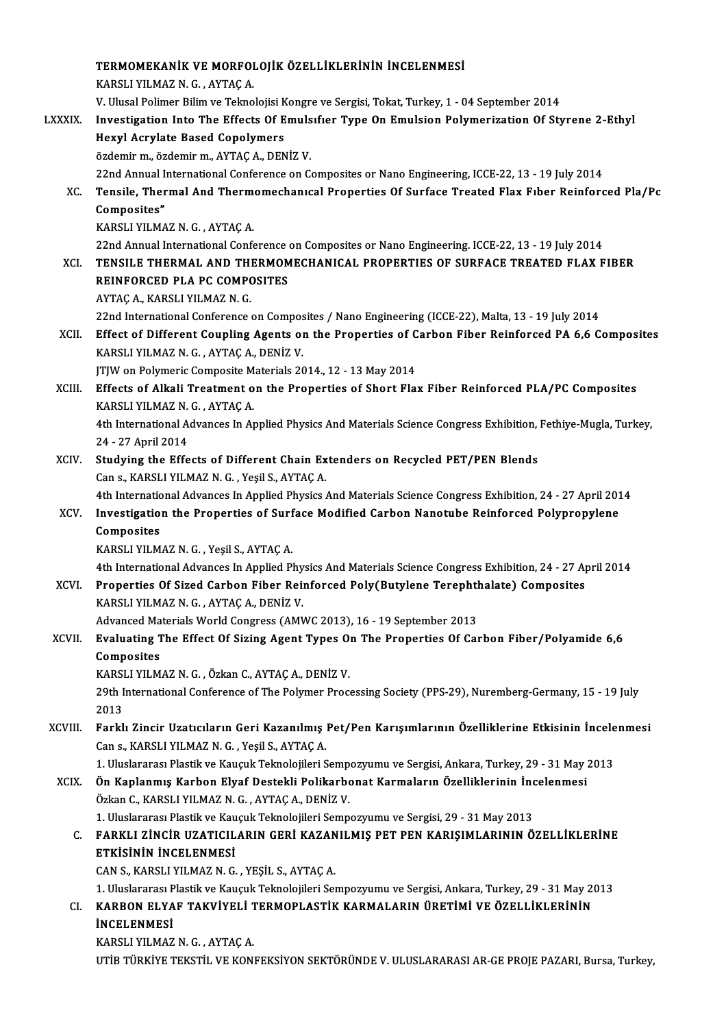|                | TERMOMEKANIK VE MORFOLOJIK ÖZELLIKLERININ INCELENMESI                                                                                                                               |
|----------------|-------------------------------------------------------------------------------------------------------------------------------------------------------------------------------------|
|                | KARSLI YILMAZ N. G., AYTAÇ A.                                                                                                                                                       |
|                | V. Ulusal Polimer Bilim ve Teknolojisi Kongre ve Sergisi, Tokat, Turkey, 1 - 04 September 2014                                                                                      |
| <b>LXXXIX.</b> | Investigation Into The Effects Of Emulsifier Type On Emulsion Polymerization Of Styrene 2-Ethyl                                                                                     |
|                | <b>Hexyl Acrylate Based Copolymers</b>                                                                                                                                              |
|                | özdemir m., özdemir m., AYTAÇ A., DENİZ V.                                                                                                                                          |
|                | 22nd Annual International Conference on Composites or Nano Engineering, ICCE-22, 13 - 19 July 2014                                                                                  |
| XC.            | Tensile, Thermal And Thermomechanical Properties Of Surface Treated Flax Fiber Reinforced Pla/Pc                                                                                    |
|                | Composites"                                                                                                                                                                         |
|                | KARSLI YILMAZ N. G., AYTAÇ A.                                                                                                                                                       |
|                | 22nd Annual International Conference on Composites or Nano Engineering. ICCE-22, 13 - 19 July 2014                                                                                  |
| <b>XCI</b>     | TENSILE THERMAL AND THERMOMECHANICAL PROPERTIES OF SURFACE TREATED FLAX FIBER                                                                                                       |
|                | REINFORCED PLA PC COMPOSITES                                                                                                                                                        |
|                | AYTAÇ A., KARSLI YILMAZ N. G.                                                                                                                                                       |
|                | 22nd International Conference on Composites / Nano Engineering (ICCE-22), Malta, 13 - 19 July 2014                                                                                  |
| XCII.          | Effect of Different Coupling Agents on the Properties of Carbon Fiber Reinforced PA 6,6 Composites                                                                                  |
|                | KARSLI YILMAZ N. G., AYTAÇ A., DENİZ V.                                                                                                                                             |
|                | JTJW on Polymeric Composite Materials 2014., 12 - 13 May 2014                                                                                                                       |
| XCIII.         | Effects of Alkali Treatment on the Properties of Short Flax Fiber Reinforced PLA/PC Composites                                                                                      |
|                | KARSLI YILMAZ N. G., AYTAÇ A.                                                                                                                                                       |
|                | 4th International Advances In Applied Physics And Materials Science Congress Exhibition, Fethiye-Mugla, Turkey,                                                                     |
|                | 24 - 27 April 2014                                                                                                                                                                  |
| XCIV.          | Studying the Effects of Different Chain Extenders on Recycled PET/PEN Blends<br>Can s., KARSLI YILMAZ N. G., Yeşil S., AYTAÇ A.                                                     |
|                | 4th International Advances In Applied Physics And Materials Science Congress Exhibition, 24 - 27 April 2014                                                                         |
| XCV.           | Investigation the Properties of Surface Modified Carbon Nanotube Reinforced Polypropylene                                                                                           |
|                | Composites                                                                                                                                                                          |
|                | KARSLI YILMAZ N. G., Yeşil S., AYTAÇ A.                                                                                                                                             |
|                | 4th International Advances In Applied Physics And Materials Science Congress Exhibition, 24 - 27 April 2014                                                                         |
| XCVI.          | Properties Of Sized Carbon Fiber Reinforced Poly(Butylene Terephthalate) Composites                                                                                                 |
|                | KARSLI YILMAZ N. G., AYTAÇ A., DENİZ V.                                                                                                                                             |
|                | Advanced Materials World Congress (AMWC 2013), 16 - 19 September 2013                                                                                                               |
| XCVII.         | Evaluating The Effect Of Sizing Agent Types On The Properties Of Carbon Fiber/Polyamide 6,6                                                                                         |
|                | Composites                                                                                                                                                                          |
|                | KARSLI YILMAZ N. G., Özkan C., AYTAÇ A., DENİZ V.                                                                                                                                   |
|                | 29th International Conference of The Polymer Processing Society (PPS-29), Nuremberg-Germany, 15 - 19 July                                                                           |
|                | 2013                                                                                                                                                                                |
| XCVIII.        | Farklı Zincir Uzatıcıların Geri Kazanılmış Pet/Pen Karışımlarının Özelliklerine Etkisinin İncelenmesi                                                                               |
|                | Can s., KARSLI YILMAZ N. G., Yeşil S., AYTAÇ A.                                                                                                                                     |
|                | 1. Uluslararası Plastik ve Kauçuk Teknolojileri Sempozyumu ve Sergisi, Ankara, Turkey, 29 - 31 May 2013                                                                             |
| <b>XCIX</b>    | Ön Kaplanmış Karbon Elyaf Destekli Polikarbonat Karmaların Özelliklerinin İncelenmesi                                                                                               |
|                | Özkan C., KARSLI YILMAZ N. G., AYTAÇ A., DENİZ V.                                                                                                                                   |
|                | 1. Uluslararası Plastik ve Kauçuk Teknolojileri Sempozyumu ve Sergisi, 29 - 31 May 2013                                                                                             |
| C.             | FARKLI ZİNCİR UZATICILARIN GERİ KAZANILMIŞ PET PEN KARIŞIMLARININ ÖZELLİKLERİNE                                                                                                     |
|                | <b>ETKİSİNİN İNCELENMESİ</b>                                                                                                                                                        |
|                | CAN S., KARSLI YILMAZ N. G., YEŞİL S., AYTAÇ A.                                                                                                                                     |
| CI.            | 1. Uluslararası Plastik ve Kauçuk Teknolojileri Sempozyumu ve Sergisi, Ankara, Turkey, 29 - 31 May 2013<br>KARBON ELYAF TAKVİYELİ TERMOPLASTİK KARMALARIN ÜRETİMİ VE ÖZELLİKLERİNİN |
|                | <b>İNCELENMESİ</b>                                                                                                                                                                  |
|                | KARSLI YILMAZ N. G., AYTAÇ A.                                                                                                                                                       |
|                | UTİB TÜRKİYE TEKSTİL VE KONFEKSİYON SEKTÖRÜNDE V. ULUSLARARASI AR-GE PROJE PAZARI, Bursa, Turkey,                                                                                   |
|                |                                                                                                                                                                                     |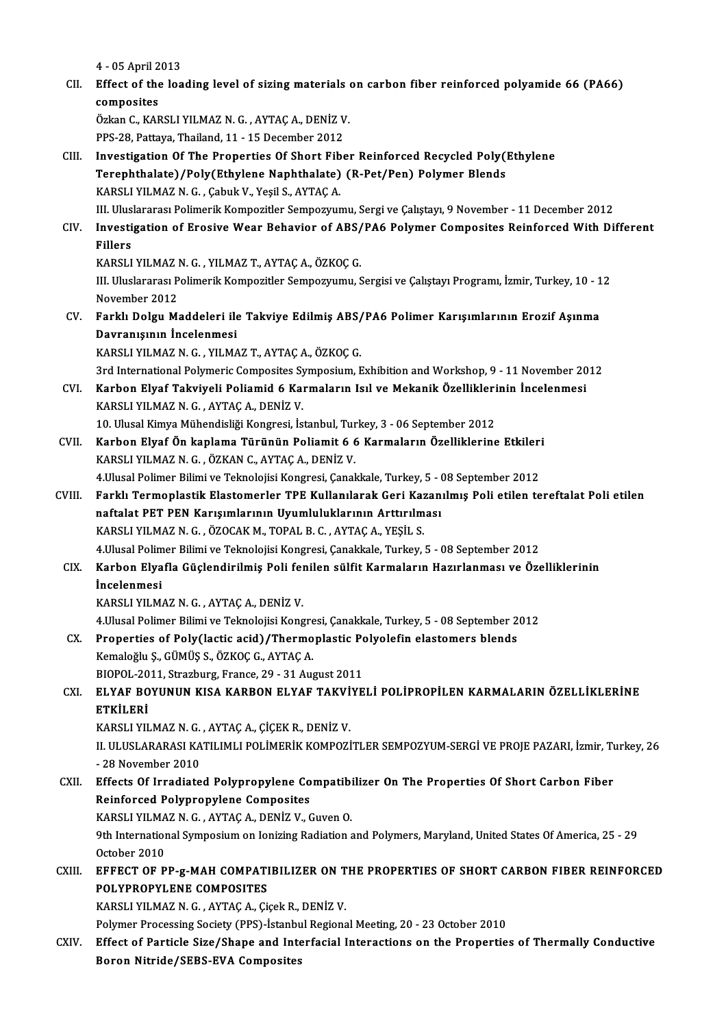4 -05April2013 4 - 05 April 2013<br>CII. Effect of the loading level of sizing materials on carbon fiber reinforced polyamide 66 (PA66) 4 - 05 April 2<br>Effect of the<br>composites<br>Örken C. KAT Effect of the loading level of sizing materials<br>composites<br>Özkan C., KARSLI YILMAZ N. G. , AYTAÇ A., DENİZ V.<br>PPS 28 Pettyus Theiland 11, 15 Desember 2012. composites<br>Özkan C., KARSLI YILMAZ N. G. , AYTAÇ A., DENİZ V<br>PPS-28, Pattaya, Thailand, 11 - 15 December 2012<br>Investigation Of The Prenerties Of Short Eihe Özkan C., KARSLI YILMAZ N. G. , AYTAÇ A., DENİZ V.<br>PPS-28, Pattaya, Thailand, 11 - 15 December 2012<br>CIII. Investigation Of The Properties Of Short Fiber Reinforced Recycled Poly(Ethylene<br>Terephthalate) (Pely(Ethylene Napht PPS-28, Pattaya, Thailand, 11 - 15 December 2012<br>Investigation Of The Properties Of Short Fiber Reinforced Recycled Poly()<br>Terephthalate)/Poly(Ethylene Naphthalate) (R-Pet/Pen) Polymer Blends<br>KARSLLYHMAZN G. Cobuk V. Yosil Terephthalate)/Poly(Ethylene Naphthalate) (R-Pet/Pen) Polymer Blends<br>KARSLI YILMAZ N. G., Çabuk V., Yeşil S., AYTAÇ A. Terephthalate)/Poly(Ethylene Naphthalate) (R-Pet/Pen) Polymer Blends<br>KARSLI YILMAZ N. G. , Çabuk V., Yeşil S., AYTAÇ A.<br>III. Uluslararası Polimerik Kompozitler Sempozyumu, Sergi ve Çalıştayı, 9 November - 11 December 2012<br> KARSLI YILMAZ N. G. , Çabuk V., Yeşil S., AYTAÇ A.<br>III. Uluslararası Polimerik Kompozitler Sempozyumu, Sergi ve Çalıştayı, 9 November - 11 December 2012<br>CIV. Investigation of Erosive Wear Behavior of ABS/PA6 Polymer Co III. Ulus<br><mark>Investi</mark><br>Fillers<br>KARSI I Investigation of Erosive Wear Behavior of ABS/<br>Fillers<br>KARSLI YILMAZ N. G. , YILMAZ T., AYTAÇ A., ÖZKOÇ G.<br>IIL Illuslararası Bolimarik Kompozitlar Sampozuumu. S Fillers<br>KARSLI YILMAZ N. G. , YILMAZ T., AYTAÇ A., ÖZKOÇ G.<br>III. Uluslararası Polimerik Kompozitler Sempozyumu, Sergisi ve Çalıştayı Programı, İzmir, Turkey, 10 - 12<br>Navember 2012 KARSLI YILMAZ I<br>III. Uluslararası P<br>November 2012<br>Farklı Dalay M III. Uluslararası Polimerik Kompozitler Sempozyumu, Sergisi ve Çalıştayı Programı, İzmir, Turkey, 10 - 1<br>November 2012<br>CV. Farklı Dolgu Maddeleri ile Takviye Edilmiş ABS/PA6 Polimer Karışımlarının Erozif Aşınma<br>Dovranısı November 2012<br>Farklı Dolgu Maddeleri ile<br>Davranışının İncelenmesi<br>KARSLI VILMAZ N.C. VILMA Farklı Dolgu Maddeleri ile Takviye Edilmiş ABS/<br>Davranışının İncelenmesi<br>KARSLI YILMAZ N. G., YILMAZ T., AYTAÇ A., ÖZKOÇ G.<br><sup>2nd Intonational Dolumeris Composites Sumposium E</sup> Davranışının İncelenmesi<br>KARSLI YILMAZ N. G. , YILMAZ T., AYTAÇ A., ÖZKOÇ G.<br>3rd International Polymeric Composites Symposium, Exhibition and Workshop, 9 - 11 November 2012 KARSLI YILMAZ N. G. , YILMAZ T., AYTAÇ A., ÖZKOÇ G.<br>3rd International Polymeric Composites Symposium, Exhibition and Workshop, 9 - 11 November 20<br>201. Karbon Elyaf Takviyeli Poliamid 6 Karmaların Isıl ve Mekanik Özelli KARSLI YILMAZ N. G. , AYTAÇ A., DENİZ V.<br>10. Ulusal Kimya Mühendisliği Kongresi, İstanbul, Turkey, 3 - 06 September 2012 Karbon Elyaf Takviyeli Poliamid 6 Karmaların Isıl ve Mekanik Özellikleri<br>KARSLI YILMAZ N. G., AYTAÇ A., DENİZ V.<br>10. Ulusal Kimya Mühendisliği Kongresi, İstanbul, Turkey, 3 - 06 September 2012<br>Karbon Elvaf Ön kanlama Türün CVII. Karbon Elyaf Ön kaplama Türünün Poliamit 6 6 Karmaların Özelliklerine Etkileri KARSLI YILMAZ N. G., ÖZKAN C., AYTAÇ A., DENİZ V. Karbon Elyaf Ön kaplama Türünün Poliamit 6 6 Karmaların Özelliklerine Etkileri<br>KARSLI YILMAZ N. G. , ÖZKAN C., AYTAÇ A., DENİZ V.<br>4.Ulusal Polimer Bilimi ve Teknolojisi Kongresi, Çanakkale, Turkey, 5 - 08 September 2012<br>Fa CVIII. Farklı Termoplastik Elastomerler TPE Kullanılarak Geri Kazanılmış Poli etilen tereftalat Poli etilen 4.Ulusal Polimer Bilimi ve Teknolojisi Kongresi, Çanakkale, Turkey, 5 - (<br>Farklı Termoplastik Elastomerler TPE Kullanılarak Geri Kazan<br>naftalat PET PEN Karışımlarının Uyumluluklarının Arttırılması<br>KARSLI VILMAZ N.C., ÖZOCA naftalat PET PEN Karışımlarının Uyumluluklarının Arttırılması<br>KARSLI YILMAZ N. G., ÖZOCAK M., TOPAL B. C., AYTAÇ A., YEŞİL S. 4. Ulusal Polimer Bilimi ve Teknolojisi Kongresi, Çanakkale, Turkey, 5 - 08 September 2012 KARSLI YILMAZ N. G. , ÖZOCAK M., TOPAL B. C. , AYTAÇ A., YEŞİL S.<br>4.Ulusal Polimer Bilimi ve Teknolojisi Kongresi, Çanakkale, Turkey, 5 - 08 September 2012<br>CIX. Karbon Elyafla Güçlendirilmiş Poli fenilen sülfit Karmala 4.Ulusal Polim<br><mark>Karbon Elya</mark><br>İncelenmesi<br>KARSI LYU M Karbon Elyafla Güçlendirilmiş Poli fel<br>İncelenmesi<br>KARSLI YILMAZ N. G. , AYTAÇ A., DENİZ V.<br>4 Husal Balimar Bilimi ve Talmalajisi Kana İncelenmesi<br>KARSLI YILMAZ N. G. , AYTAÇ A., DENİZ V.<br>4.Ulusal Polimer Bilimi ve Teknolojisi Kongresi, Çanakkale, Turkey, 5 - 08 September 2012<br>Prenerties ef Boly(lastis 20id) (Thermonlastis Bolyolofin elestemers blande KARSLI YILMAZ N. G. , AYTAÇ A., DENİZ V.<br>4.Ulusal Polimer Bilimi ve Teknolojisi Kongresi, Çanakkale, Turkey, 5 - 08 September 2<br>CX. Properties of Poly(lactic acid)/Thermoplastic Polyolefin elastomers blends<br>Kamalağlu S. CÜ 4.Ulusal Polimer Bilimi ve Teknolojisi Kongre<br>Properties of Poly(lactic acid)/Thermo<br>Kemaloğlu Ş., GÜMÜŞ S., ÖZKOÇ G., AYTAÇ A.<br>PIOPOL 2011 Strarburg Eronse 29, 21.Avr Properties of Poly(lactic acid)/Thermoplastic Po<br>Kemaloğlu Ş., GÜMÜŞ S., ÖZKOÇ G., AYTAÇ A.<br>BIOPOL-2011, Strazburg, France, 29 - 31 August 2011<br>ELVAE POVUNUN KISA KARPON ELVAE TAKVİVE Kemaloğlu Ş., GÜMÜŞ S., ÖZKOÇ G., AYTAÇ A.<br>BIOPOL-2011, Strazburg, France, 29 - 31 August 2011<br>CXI. ELYAF BOYUNUN KISA KARBON ELYAF TAKVİYELİ POLİPROPİLEN KARMALARIN ÖZELLİKLERİNE<br>ETKİLERİ BIOPOL-2011, Strazburg, France, 29 - 31 August 2011 ELYAF BOYUNUN KISA KARBON ELYAF TAKVİ<br>ETKİLERİ<br>KARSLI YILMAZ N. G. , AYTAÇ A., ÇİÇEK R., DENİZ V.<br>U. ULUSLARARASI KATU IMLI BOLİMERİK KOMBOZİ II. ULUSLARARASI KATILIMLI POLİMERİK KOMPOZİTLER SEMPOZYUM-SERGİ VE PROJE PAZARI, İzmir, Turkey, 26<br>- 28 November 2010 KARSLI YILMAZ N. G.<br>II. ULUSLARARASI KA<br>- 28 November 2010<br>Fffects Of Irradiate II. ULUSLARARASI KATILIMLI POLIMERIK KOMPOZITLER SEMPOZYUM-SERGI VE PROJE PAZARI, İzmir, Tu<br>- 28 November 2010<br>CXII. Effects Of Irradiated Polypropylene Compatibilizer On The Properties Of Short Carbon Fiber<br>- Peinfersed P - 28 November 2010<br>Effects Of Irradiated Polypropylene Co<br>Reinforced Polypropylene Composites<br>KARSLUVI MAZ N.C., AYTAC A, DENİZ V. G Effects Of Irradiated Polypropylene Compatibi<br>Reinforced Polypropylene Composites<br>KARSLI YILMAZ N. G. , AYTAÇ A., DENİZ V., Guven O.<br>9th International Sumposium on Ionizing Padiation o Reinforced Polypropylene Composites<br>KARSLI YILMAZ N. G. , AYTAÇ A., DENİZ V., Guven O.<br>9th International Symposium on Ionizing Radiation and Polymers, Maryland, United States Of America, 25 - 29<br>October 2010 KARSLI YILMAZ N. G., AYTAÇ A., DENİZ V., Guven O. CXIII. EFFECT OF PP-g-MAH COMPATIBILIZER ON THE PROPERTIES OF SHORT CARBON FIBER REINFORCED POLYPROPYLENE COMPOSITES KARSLI YILMAZ N. G., AYTAÇ A., Çiçek R., DENİZ V. Polymer Processing Society (PPS)-İstanbul Regional Meeting, 20 - 23 October 2010 KARSLI YILMAZ N. G. , AYTAÇ A., Çiçek R., DENİZ V.<br>Polymer Processing Society (PPS)-İstanbul Regional Meeting, 20 - 23 October 2010<br>CXIV. Effect of Particle Size/Shape and Interfacial Interactions on the Properties of Ther Polymer Processing Society (PPS)-İstanbu<br>Effect of Particle Size/Shape and Inte<br>Boron Nitride/SEBS-EVA Composites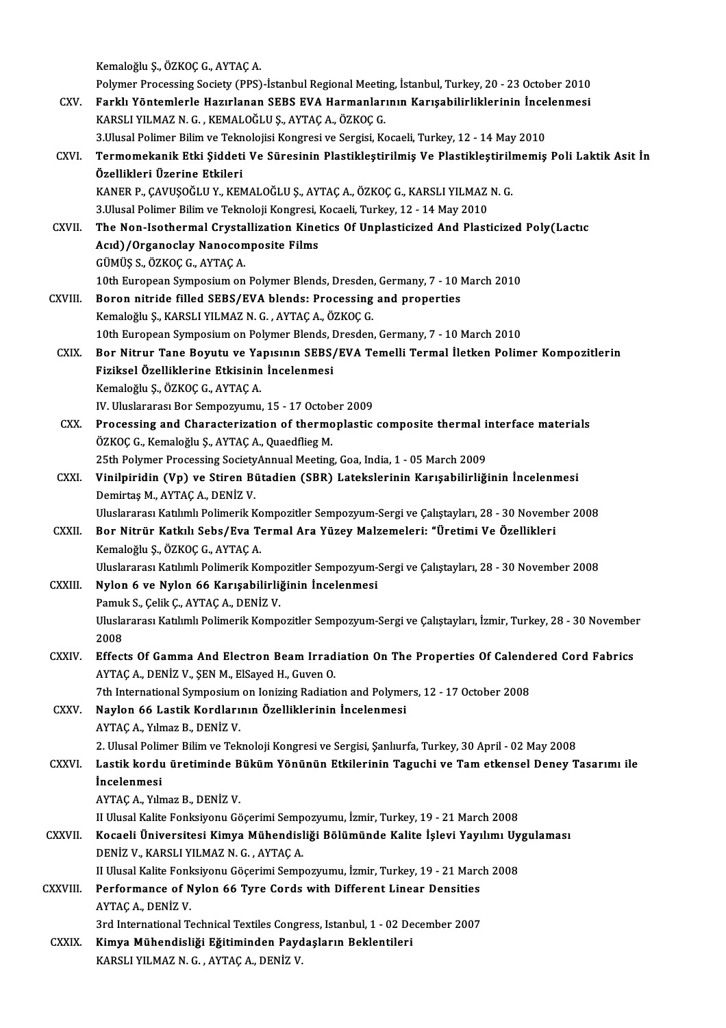Kemaloğlu Ş.,ÖZKOÇG.,AYTAÇA. Polymer Processing Society (PPS)-İstanbul Regional Meeting, İstanbul, Turkey, 20 - 23 October 2010 Kemaloğlu Ş., ÖZKOÇ G., AYTAÇ A.<br>Polymer Processing Society (PPS)-İstanbul Regional Meeting, İstanbul, Turkey, 20 - 23 October 2010<br>CXV. Farklı Yöntemlerle Hazırlanan SEBS EVA Harmanlarının Karışabilirliklerinin İncelenmes Polymer Processing Society (PPS)-İstanbul Regional Meetin<br>Farklı Yöntemlerle Hazırlanan SEBS EVA Harmanları<br>KARSLI YILMAZ N. G. , KEMALOĞLU Ş., AYTAÇ A., ÖZKOÇ G.<br>2 Husal Bolimar Bilim ve Talmalajisi Kangresi ve Sarsisi, K Farklı Yöntemlerle Hazırlanan SEBS EVA Harmanlarının Karışabilirliklerinin İncel<br>KARSLI YILMAZ N. G. , KEMALOĞLU Ş., AYTAÇ A., ÖZKOÇ G.<br>3.Ulusal Polimer Bilim ve Teknolojisi Kongresi ve Sergisi, Kocaeli, Turkey, 12 - 14 Ma KARSLI YILMAZ N. G. , KEMALOĞLU Ş., AYTAÇ A., ÖZKOÇ G.<br>3.Ulusal Polimer Bilim ve Teknolojisi Kongresi ve Sergisi, Kocaeli, Turkey, 12 - 14 May 2010<br>CXVI. Termomekanik Etki Şiddeti Ve Süresinin Plastikleştirilmiş Ve Pla 3. Ulusal Polimer Bilim ve Teknolojisi Kongresi ve Sergisi, Kocaeli, Turkey, 12 - 14 May 2010 Termomekanik Etki Şiddeti Ve Süresinin Plastikleştirilmiş Ve Plastikleştiril<mark>ı</mark><br>Özellikleri Üzerine Etkileri<br>KANER P., ÇAVUŞOĞLU Y., KEMALOĞLU Ş., AYTAÇ A., ÖZKOÇ G., KARSLI YILMAZ N. G.<br><sup>2 Hlusal Bolimar Bilim ve Talmoloj</sup> Özellikleri Üzerine Etkileri<br>KANER P., ÇAVUŞOĞLU Y., KEMALOĞLU Ş., AYTAÇ A., ÖZKOÇ G., KARSLI YILMAZ<br>3.Ulusal Polimer Bilim ve Teknoloji Kongresi, Kocaeli, Turkey, 12 - 14 May 2010<br>The Nen-Jesthermal Crystallization Kineti KANER P., ÇAVUŞOĞLU Y., KEMALOĞLU Ş., AYTAÇ A., ÖZKOÇ G., KARSLI YILMAZ N. G.<br>3.Ulusal Polimer Bilim ve Teknoloji Kongresi, Kocaeli, Turkey, 12 - 14 May 2010<br>CXVII. The Non-Isothermal Crystallization Kinetics Of Unplas 3.Ulusal Polimer Bilim ve Teknoloji Kongresi, l<br>The Non-Isothermal Crystallization Kine<br>Acıd)/Organoclay Nanocomposite Films<br>CÜMÜS S. ÖZKOC C. AYTAC A The Non-Isothermal Crysta<br>Acıd)/Organoclay Nanocon<br>GÜMÜŞ S., ÖZKOÇ G., AYTAÇ A.<br>10th Euroneen Sumnosium en 10thell (Organoclay Nanocomposite Films)<br>10th European Symposium on Polymer Blends, Dresden, Germany, 7 - 10 March 2010<br>10th European Symposium on Polymer Blends, Dresden, Germany, 7 - 10 March 2010 GÜMÜŞ S., ÖZKOÇ G., AYTAÇ A.<br>10th European Symposium on Polymer Blends, Dresden, Germany, 7 - 10 I.<br>CXVIII. Boron nitride filled SEBS/EVA blends: Processing and properties<br>Kemeleğlu S. KARSLLVII MAZ N.C., AYTAÇ A. ÖZKOÇ C. 10th European Symposium on Polymer Blends, Dresden<br>Boron nitride filled SEBS/EVA blends: Processing<br>Kemaloğlu Ş., KARSLI YILMAZ N. G. , AYTAÇ A., ÖZKOÇ G.<br>10th European Symposium en Bolymar Blands, Dresden Kemaloğlu Ş., KARSLI YILMAZ N. G. , AYTAÇ A., ÖZKOÇ G.<br>10th European Symposium on Polymer Blends, Dresden, Germany, 7 - 10 March 2010 Kemaloğlu Ş., KARSLI YILMAZ N. G. , AYTAÇ A., ÖZKOÇ G.<br>10th European Symposium on Polymer Blends, Dresden, Germany, 7 - 10 March 2010<br>CXIX. Bor Nitrur Tane Boyutu ve Yapısının SEBS/EVA Temelli Termal İletken Polimer Kompoz 10th European Symposium on Polymer Blends, I<br>Bor Nitrur Tane Boyutu ve Yapısının SEBS,<br>Fiziksel Özelliklerine Etkisinin İncelenmesi<br>Kamalağlu S. ÖZKOC C. AYTAC A Bor Nitrur Tane Boyutu ve Ya<br>Fiziksel Özelliklerine Etkisinin<br>Kemaloğlu Ş., ÖZKOÇ G., AYTAÇ A.<br>W. Uluslararesı Bar Samnarınımı. Fiziksel Özelliklerine Etkisinin İncelenmesi<br>Kemaloğlu Ş., ÖZKOÇ G., AYTAÇ A.<br>IV. Uluslararası Bor Sempozyumu, 15 - 17 October 2009<br>Presessing and Charactorination of thermonlastic Kemaloğlu Ş., ÖZKOÇ G., AYTAÇ A.<br>IV. Uluslararası Bor Sempozyumu, 15 - 17 October 2009<br>CXX. Processing and Characterization of thermoplastic composite thermal interface materials<br>ÖZKOÇ G., Kemaloğlu Ş., AYTAÇ A., Quaedflie IV. Uluslararası Bor Sempozyumu, 15 - 17 Octob<br>Processing and Characterization of thermo<br>ÖZKOÇ G., Kemaloğlu Ş., AYTAÇ A., Quaedflieg M.<br>25th Polymor Processing SocietyAnnual Mooting Processing and Characterization of thermoplastic composite thermal is<br>ÖZKOÇ G., Kemaloğlu Ş., AYTAÇ A., Quaedflieg M.<br>25th Polymer Processing SocietyAnnual Meeting, Goa, India, 1 - 05 March 2009<br>Vinilninidin (Vn) ve Stiren ÖZKOÇ G., Kemaloğlu Ş., AYTAÇ A., Quaedflieg M.<br>25th Polymer Processing SocietyAnnual Meeting, Goa, India, 1 - 05 March 2009<br>CXXI. Vinilpiridin (Vp) ve Stiren Bütadien (SBR) Latekslerinin Karışabilirliğinin İncelenmesi 25th Polymer Processing Society<br>Vinilpiridin (Vp) ve Stiren Bi<br>Demirtaş M., AYTAÇ A., DENİZ V.<br>Hluclararesı Katılımlı Bolimerik V. Vinilpiridin (Vp) ve Stiren Bütadien (SBR) Latekslerinin Karışabilirliğinin İncelenmesi<br>Demirtaş M., AYTAÇ A., DENİZ V.<br>Uluslararası Katılımlı Polimerik Kompozitler Sempozyum-Sergi ve Çalıştayları, 28 - 30 November 2008<br>Po Demirtaş M., AYTAÇ A., DENİZ V.<br>Uluslararası Katılımlı Polimerik Kompozitler Sempozyum-Sergi ve Çalıştayları, 28 - 30 Novemb<br>CXXII. Bor Nitrür Katkılı Sebs/Eva Termal Ara Yüzey Malzemeleri: "Üretimi Ve Özellikleri<br>Kemaloğl Uluslararası Katılımlı Polimerik Kompozitler Sempozyum-Sergi ve Çalıştayları, 28 - 30 November 2008 Bor Nitrür Katkılı Sebs/Eva Termal Ara Yüzey Malzemeleri: "Üretimi Ve Özellikleri<br>Kemaloğlu Ş., ÖZKOÇ G., AYTAÇ A.<br>Uluslararası Katılımlı Polimerik Kompozitler Sempozyum-Sergi ve Çalıştayları, 28 - 30 November 2008<br>Nylon 6 Kemaloğlu Ş., ÖZKOÇ G., AYTAÇ A.<br>Uluslararası Katılımlı Polimerik Kompozitler Sempozyum-<br>CXXIII. Nylon 6 ve Nylon 66 Karışabilirliğinin İncelenmesi<br>Pamuk S. Gelik G. AYTAG A. DENİZ V. Uluslararası Katılımlı Polimerik Komp<br>**Nylon 6 ve Nylon 66 Karışabilirli**<br>Pamuk S., Çelik Ç., AYTAÇ A., DENİZ V.<br>Hluslararası Katılımlı Polimerik Komp Nylon 6 ve Nylon 66 Karışabilirliğinin İncelenmesi<br>Pamuk S., Çelik Ç., AYTAÇ A., DENİZ V.<br>Uluslararası Katılımlı Polimerik Kompozitler Sempozyum-Sergi ve Çalıştayları, İzmir, Turkey, 28 - 30 November<br>2008 Pamul<br>Ulusla<br>2008<br>Effect Uluslararası Katılımlı Polimerik Kompozitler Sempozyum-Sergi ve Çalıştayları, İzmir, Turkey, 28 - 30 Novembe<br>2008<br>CXXIV. Effects Of Gamma And Electron Beam Irradiation On The Properties Of Calendered Cord Fabrics 2008<br>Effects Of Gamma And Electron Beam Irradiation On The Properties Of Calend<br>AYTAÇ A., DENİZ V., ŞEN M., ElSayed H., Guven O.<br>7th International Symposium on Ionizing Radiation and Polymers, 12 - 17 October 2008 Effects Of Gamma And Electron Beam Irradiation On The Properties Of Calendered Cord Fabrics CXXV. Naylon 66 Lastik Kordlarının Özelliklerinin İncelenmesi AYTAÇ A., Yılmaz B., DENİZ V. Naylon 66 Lastik Kordlarının Özelliklerinin İncelenmesi<br>AYTAÇ A., Yılmaz B., DENİZ V.<br>2. Ulusal Polimer Bilim ve Teknoloji Kongresi ve Sergisi, Şanlıurfa, Turkey, 30 April - 02 May 2008<br>Lastik kordu ünetiminde Büküm Vönünü AYTAÇ A., Yılmaz B., DENİZ V.<br>2. Ulusal Polimer Bilim ve Teknoloji Kongresi ve Sergisi, Şanlıurfa, Turkey, 30 April - 02 May 2008<br>2. CXXVI. Lastik kordu üretiminde Büküm Yönünün Etkilerinin Taguchi ve Tam etkensel Dene 2. Ulusal Polin<br>Lastik kordu<br>İncelenmesi<br>AVTAC A. Vılm Lastik kordu üretiminde B<br>İncelenmesi<br>AYTAÇ A., Yılmaz B., DENİZ V.<br>H Hlusel Kalita Fonksiyonu Cö İncelenmesi<br>AYTAÇ A., Yılmaz B., DENİZ V.<br>II Ulusal Kalite Fonksiyonu Göçerimi Sempozyumu, İzmir, Turkey, 19 - 21 March 2008<br>Kosaali Üniversitesi Kimya Mühandisliği Bölümünde Kalite İslevi Yavılımı IIv AYTAÇ A., Yılmaz B., DENİZ V.<br>II Ulusal Kalite Fonksiyonu Göçerimi Sempozyumu, İzmir, Turkey, 19 - 21 March 2008<br>CXXVII. Kocaeli Üniversitesi Kimya Mühendisliği Bölümünde Kalite İşlevi Yayılımı Uygulaması<br>DENİZ V. KARS II Ulusal Kalite Fonksiyonu Göçerimi Semp<br>**Kocaeli Üniversitesi Kimya Mühendisl**<br>DENİZ V., KARSLI YILMAZ N. G. , AYTAÇ A.<br>II Ulusal Kalite Fonksiyonu Göserimi Semp Kocaeli Üniversitesi Kimya Mühendisliği Bölümünde Kalite İşlevi Yayılımı Uy<br>DENİZ V., KARSLI YILMAZ N. G. , AYTAÇ A.<br>II Ulusal Kalite Fonksiyonu Göçerimi Sempozyumu, İzmir, Turkey, 19 - 21 March 2008<br>Performanee of Nylan 6 DENİZ V., KARSLI YILMAZ N. G. , AYTAÇ A.<br>II Ulusal Kalite Fonksiyonu Göçerimi Sempozyumu, İzmir, Turkey, 19 - 21 Marc<br>CXXVIII. Performance of Nylon 66 Tyre Cords with Different Linear Densities<br>AVTAC A. DENİZ V. II Ulusal Kalite Fonk<br>Performance of N<br>AYTAÇ A., DENİZ V.<br><sup>2nd Intonnational T</sub>.</sup> Performance of Nylon 66 Tyre Cords with Different Linear Densities<br>AYTAÇ A., DENİZ V.<br>3rd International Technical Textiles Congress, Istanbul, 1 - 02 December 2007<br>Kimyo Mühandialiği Eğitimindan Paydaeların Baklantileri AYTAÇ A., DENİZ V.<br>3rd International Technical Textiles Congress, Istanbul, 1 - 02 De<br>CXXIX. Kimya Mühendisliği Eğitiminden Paydaşların Beklentileri 3rd International Technical Textiles Congr<br><mark>Kimya Mühendisliği Eğitiminden Pay</mark>d<br>KARSLI YILMAZ N. G. , AYTAÇ A., DENİZ V.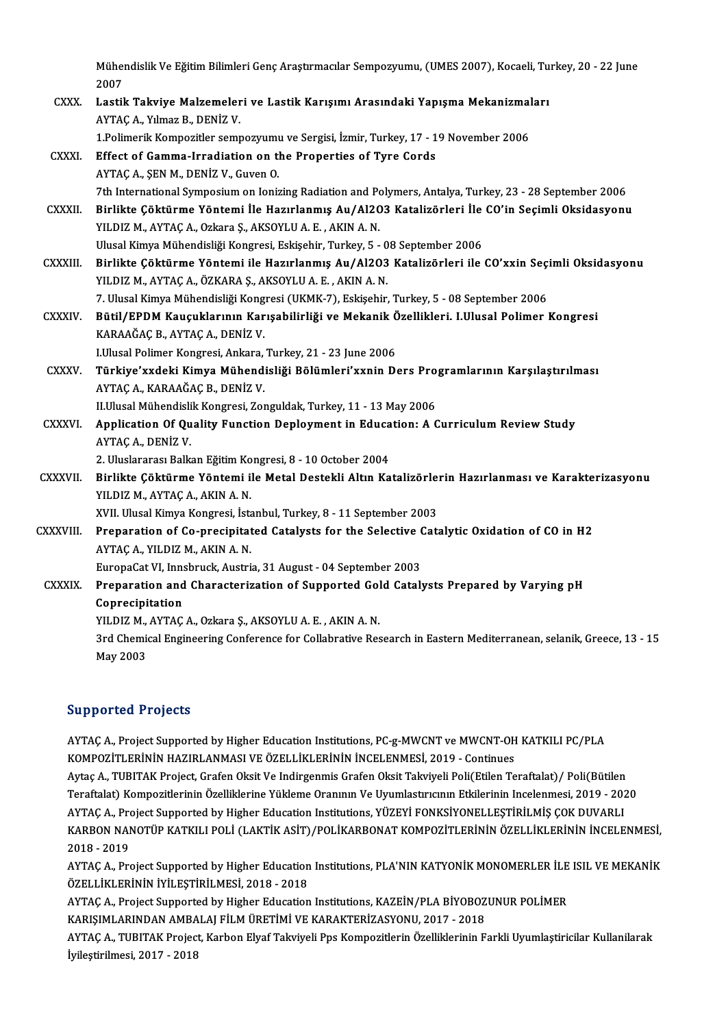Mühendislik Ve Eğitim Bilimleri Genç Araştırmacılar Sempozyumu, (UMES 2007), Kocaeli, Turkey, 20 - 22 June<br>2007 Müher<br>2007<br>Leatil Mühendislik Ve Eğitim Bilimleri Genç Araştırmacılar Sempozyumu, (UMES 2007), Kocaeli, Tu<br>2007<br>CXXX. Lastik Takviye Malzemeleri ve Lastik Karışımı Arasındaki Yapışma Mekanizmaları<br>AVTAC A Vılmar B. DENİZ V

2007<br>Lastik Takviye Malzemeler<br>AYTAÇ A., Yılmaz B., DENİZ V. Lastik Takviye Malzemeleri ve Lastik Karışımı Arasındaki Yapışma Mekanizmaları

|                 | AYTAC A., Yılmaz B., DENİZ V.                                                                                    |
|-----------------|------------------------------------------------------------------------------------------------------------------|
|                 | 1.Polimerik Kompozitler sempozyumu ve Sergisi, İzmir, Turkey, 17 - 19 November 2006                              |
| <b>CXXXI</b>    | Effect of Gamma-Irradiation on the Properties of Tyre Cords                                                      |
|                 | AYTAÇ A., ŞEN M., DENİZ V., Guven O.                                                                             |
|                 | 7th International Symposium on Ionizing Radiation and Polymers, Antalya, Turkey, 23 - 28 September 2006          |
| <b>CXXXII</b>   | Birlikte Çöktürme Yöntemi İle Hazırlanmış Au/Al2O3 Katalizörleri İle CO'in Seçimli Oksidasyonu                   |
|                 | YILDIZ M., AYTAÇ A., Ozkara Ş., AKSOYLU A. E., AKIN A. N.                                                        |
|                 | Ulusal Kimya Mühendisliği Kongresi, Eskişehir, Turkey, 5 - 08 September 2006                                     |
| CXXXIII.        | Birlikte Çöktürme Yöntemi ile Hazırlanmış Au/Al2O3 Katalizörleri ile CO'xxin Seçimli Oksidasyonu                 |
|                 | YILDIZ M., AYTAÇ A., ÖZKARA Ş., AKSOYLU A. E., AKIN A. N.                                                        |
|                 | 7. Ulusal Kimya Mühendisliği Kongresi (UKMK-7), Eskişehir, Turkey, 5 - 08 September 2006                         |
| CXXXIV.         | Bütil/EPDM Kauçuklarının Karışabilirliği ve Mekanik Özellikleri. I.Ulusal Polimer Kongresi                       |
|                 | KARAAĞAÇ B, AYTAÇ A, DENİZ V.                                                                                    |
|                 | I.Ulusal Polimer Kongresi, Ankara, Turkey, 21 - 23 June 2006                                                     |
| <b>CXXXV</b>    | Türkiye'xxdeki Kimya Mühendisliği Bölümleri'xxnin Ders Programlarının Karşılaştırılması                          |
|                 | AYTAÇ A., KARAAĞAÇ B., DENİZ V.                                                                                  |
|                 | II.Ulusal Mühendislik Kongresi, Zonguldak, Turkey, 11 - 13 May 2006                                              |
| CXXXVI.         | Application Of Quality Function Deployment in Education: A Curriculum Review Study                               |
|                 | AYTAÇ A, DENIZ V                                                                                                 |
|                 | 2. Uluslararası Balkan Eğitim Kongresi, 8 - 10 October 2004                                                      |
| <b>CXXXVII</b>  | Birlikte Çöktürme Yöntemi ile Metal Destekli Altın Katalizörlerin Hazırlanması ve Karakterizasyonu               |
|                 | YILDIZ M., AYTAÇ A., AKIN A.N.                                                                                   |
|                 | XVII. Ulusal Kimya Kongresi, İstanbul, Turkey, 8 - 11 September 2003                                             |
| <b>CXXXVIII</b> | Preparation of Co-precipitated Catalysts for the Selective Catalytic Oxidation of CO in H2                       |
|                 | AYTAÇ A., YILDIZ M., AKIN A. N.                                                                                  |
|                 | EuropaCat VI, Innsbruck, Austria, 31 August - 04 September 2003                                                  |
| <b>CXXXIX</b>   | Preparation and Characterization of Supported Gold Catalysts Prepared by Varying pH                              |
|                 | Coprecipitation                                                                                                  |
|                 | YILDIZ M., AYTAÇ A., Ozkara Ş., AKSOYLU A. E., AKIN A. N.                                                        |
|                 | 3rd Chemical Engineering Conference for Collabrative Research in Eastern Mediterranean, selanik, Greece, 13 - 15 |
|                 | May 2003                                                                                                         |
|                 |                                                                                                                  |

## Supported Projects

Supported Projects<br>AYTAÇ A., Project Supported by Higher Education Institutions, PC-g-MWCNT ve MWCNT-OH KATKILI PC/PLA<br>KOMPOZİTI ERİNİN HAZIRI ANMASI VE ÖZELLİKI ERİNİN İNCELENMESİ, 2019, Continues Supporteur in ojecas<br>AYTAÇ A., Project Supported by Higher Education Institutions, PC-g-MWCNT ve MWCNT-OH<br>KOMPOZİTLERİNİN HAZIRLANMASI VE ÖZELLİKLERİNİN İNCELENMESİ, 2019 - Continues<br>Aytac A., TUPITAK Project, Crafon Oksit AYTAÇ A., Project Supported by Higher Education Institutions, PC-g-MWCNT ve MWCNT-OH KATKILI PC/PLA<br>KOMPOZİTLERİNİN HAZIRLANMASI VE ÖZELLİKLERİNİN İNCELENMESİ, 2019 - Continues<br>Aytaç A., TUBITAK Project, Grafen Oksit Ve In KOMPOZİTLERİNİN HAZIRLANMASI VE ÖZELLİKLERİNİN İNCELENMESİ, 2019 - Continues<br>Aytaç A., TUBITAK Project, Grafen Oksit Ve Indirgenmis Grafen Oksit Takviyeli Poli(Etilen Teraftalat)/ Poli(Bütilen<br>Teraftalat) Kompozitlerinin Ö Aytaç A., TUBITAK Project, Grafen Oksit Ve Indirgenmis Grafen Oksit Takviyeli Poli(Etilen Teraftalat) / Poli(Bütilen Teraftalat) Kompozitlerinin Özelliklerine Yükleme Oranının Ve Uyumlastırıcının Etkilerinin Incelenmesi, 2019 - 2020<br>AYTAÇ A., Project Supported by Higher Education Institutions, YÜZEYİ FONKSİYONELLEŞTİRİLMİŞ ÇOK DUVARLI<br>KA AYTAÇ A., Pro<br>KARBON NAI<br>2018 - 2019<br>AYTAÇ A., Pro KARBON NANOTÜP KATKILI POLİ (LAKTİK ASİT)/POLİKARBONAT KOMPOZİTLERİNİN ÖZELLİKLERİNİN İNCELENMESİ,<br>2018 - 2019<br>AYTAÇ A., Project Supported by Higher Education Institutions, PLA'NIN KATYONİK MONOMERLER İLE ISIL VE MEKANİK<br>Ö

2018 - 2019<br>AYTAÇ A., Project Supported by Higher Education Institutions, PLA'NIN KATYONİK MONOMERLER İLE ISIL VE MEKANİK<br>ÖZELLİKLERİNİN İYİLEŞTİRİLMESİ, 2018 - 2018 AYTAÇ A., Project Supported by Higher Education Institutions, PLA'NIN KATYONİK MONOMERLER İLE<br>ÖZELLİKLERİNİN İYİLEŞTİRİLMESİ, 2018 - 2018<br>AYTAÇ A., Project Supported by Higher Education Institutions, KAZEİN/PLA BİYOBOZUNUR

ÖZELLİKLERİNİN İYİLEŞTİRİLMESİ, 2018 - 2018<br>AYTAÇ A., Project Supported by Higher Education Institutions, KAZEİN/PLA BİYOBOZ<br>KARIŞIMLARINDAN AMBALAJ FİLM ÜRETİMİ VE KARAKTERİZASYONU, 2017 - 2018<br>AYTAÇ A. TUBITAK Project Ka AYTAÇ A., Project Supported by Higher Education Institutions, KAZEİN/PLA BİYOBOZUNUR POLİMER<br>KARIŞIMLARINDAN AMBALAJ FİLM ÜRETİMİ VE KARAKTERİZASYONU, 2017 - 2018<br>AYTAÇ A., TUBITAK Project, Karbon Elyaf Takviyeli Pps Kompo

KARIŞIMLARINDAN AMBA<br>AYTAÇ A., TUBITAK Projec<br>İyileştirilmesi, 2017 - 2018